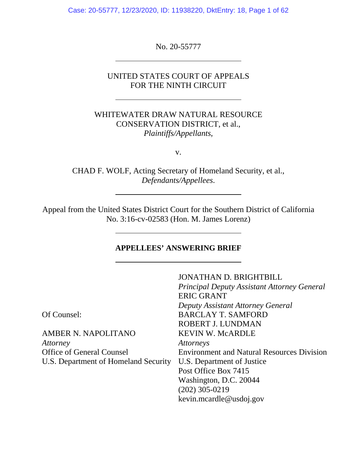Case: 20-55777, 12/23/2020, ID: 11938220, DktEntry: 18, Page 1 of 62

No. 20-55777

l,

 $\overline{a}$ 

# UNITED STATES COURT OF APPEALS FOR THE NINTH CIRCUIT

# WHITEWATER DRAW NATURAL RESOURCE CONSERVATION DISTRICT, et al., *Plaintiffs/Appellants*,

v.

CHAD F. WOLF, Acting Secretary of Homeland Security, et al., *Defendants/Appellees*.

Appeal from the United States District Court for the Southern District of California No. 3:16-cv-02583 (Hon. M. James Lorenz)

## **APPELLEES' ANSWERING BRIEF**

|                                      | <b>JONATHAN D. BRIGHTBILL</b>                      |
|--------------------------------------|----------------------------------------------------|
|                                      | <b>Principal Deputy Assistant Attorney General</b> |
|                                      | <b>ERIC GRANT</b>                                  |
|                                      | Deputy Assistant Attorney General                  |
| Of Counsel:                          | <b>BARCLAY T. SAMFORD</b>                          |
|                                      | ROBERT J. LUNDMAN                                  |
| <b>AMBER N. NAPOLITANO</b>           | <b>KEVIN W. McARDLE</b>                            |
| <i>Attorney</i>                      | <i>Attorneys</i>                                   |
| <b>Office of General Counsel</b>     | <b>Environment and Natural Resources Division</b>  |
| U.S. Department of Homeland Security | U.S. Department of Justice                         |
|                                      | Post Office Box 7415                               |
|                                      | Washington, D.C. 20044                             |
|                                      | $(202)$ 305-0219                                   |
|                                      | kevin.mcardle@usdoj.gov                            |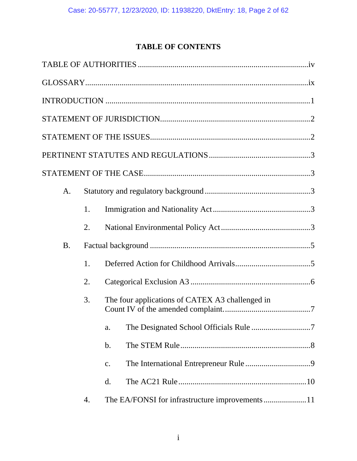# **TABLE OF CONTENTS**

| A.        |    |                                                 |
|-----------|----|-------------------------------------------------|
|           | 1. |                                                 |
|           | 2. |                                                 |
| <b>B.</b> |    |                                                 |
|           | 1. |                                                 |
|           | 2. |                                                 |
|           | 3. | The four applications of CATEX A3 challenged in |
|           |    | a.                                              |
|           |    | $b$ .                                           |
|           |    | c.                                              |
|           |    | d.                                              |
|           | 4. |                                                 |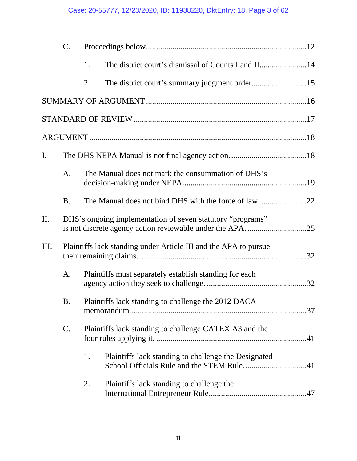# Case: 20-55777, 12/23/2020, ID: 11938220, DktEntry: 18, Page 3 of 62

|                | $C_{\cdot}$   |                                                                  |  |
|----------------|---------------|------------------------------------------------------------------|--|
|                |               | 1.                                                               |  |
|                |               | 2.                                                               |  |
|                |               |                                                                  |  |
|                |               |                                                                  |  |
|                |               |                                                                  |  |
| $\mathbf{I}$ . |               |                                                                  |  |
|                | A.            | The Manual does not mark the consummation of DHS's               |  |
|                | <b>B.</b>     | The Manual does not bind DHS with the force of law. 22           |  |
| II.            |               | DHS's ongoing implementation of seven statutory "programs"       |  |
| III.           |               | Plaintiffs lack standing under Article III and the APA to pursue |  |
|                | A.            | Plaintiffs must separately establish standing for each           |  |
|                | B.            | Plaintiffs lack standing to challenge the 2012 DACA              |  |
|                | $\mathsf{C}.$ | Plaintiffs lack standing to challenge CATEX A3 and the           |  |
|                |               | 1.<br>Plaintiffs lack standing to challenge the Designated       |  |
|                |               | 2.<br>Plaintiffs lack standing to challenge the                  |  |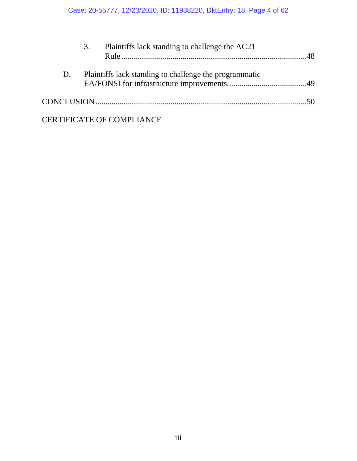|    | 3. | Plaintiffs lack standing to challenge the AC21         |  |
|----|----|--------------------------------------------------------|--|
| D. |    | Plaintiffs lack standing to challenge the programmatic |  |
|    |    |                                                        |  |
|    |    | <b>CERTIFICATE OF COMPLIANCE</b>                       |  |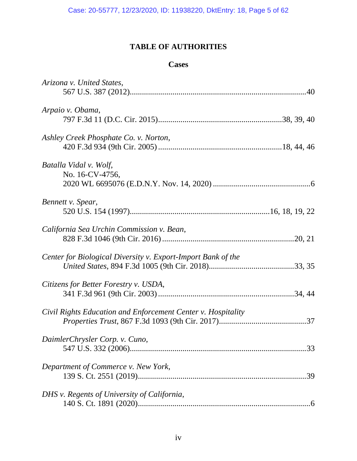# **TABLE OF AUTHORITIES**

# **Cases**

| Arizona v. United States,                                    |     |
|--------------------------------------------------------------|-----|
|                                                              |     |
| Arpaio v. Obama,                                             |     |
|                                                              |     |
| Ashley Creek Phosphate Co. v. Norton,                        |     |
|                                                              |     |
| Batalla Vidal v. Wolf,                                       |     |
| No. 16-CV-4756,                                              |     |
|                                                              |     |
| Bennett v. Spear,                                            |     |
|                                                              |     |
| California Sea Urchin Commission v. Bean,                    |     |
|                                                              |     |
| Center for Biological Diversity v. Export-Import Bank of the |     |
|                                                              |     |
| Citizens for Better Forestry v. USDA,                        |     |
|                                                              |     |
| Civil Rights Education and Enforcement Center v. Hospitality |     |
|                                                              |     |
| DaimlerChrysler Corp. v. Cuno,                               |     |
|                                                              |     |
| Department of Commerce v. New York,                          |     |
|                                                              | .39 |
| DHS v. Regents of University of California,                  |     |
|                                                              |     |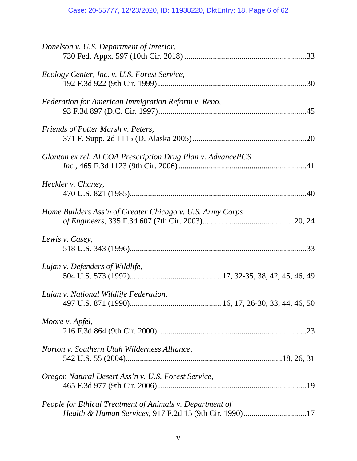| Donelson v. U.S. Department of Interior,                   |
|------------------------------------------------------------|
| Ecology Center, Inc. v. U.S. Forest Service,               |
| Federation for American Immigration Reform v. Reno,        |
| Friends of Potter Marsh v. Peters,                         |
| Glanton ex rel. ALCOA Prescription Drug Plan v. AdvancePCS |
| Heckler v. Chaney,                                         |
| Home Builders Ass'n of Greater Chicago v. U.S. Army Corps  |
| Lewis v. Casey,                                            |
| Lujan v. Defenders of Wildlife,                            |
| Lujan v. National Wildlife Federation,                     |
| Moore v. Apfel,                                            |
| Norton v. Southern Utah Wilderness Alliance,               |
| Oregon Natural Desert Ass'n v. U.S. Forest Service,        |
| People for Ethical Treatment of Animals v. Department of   |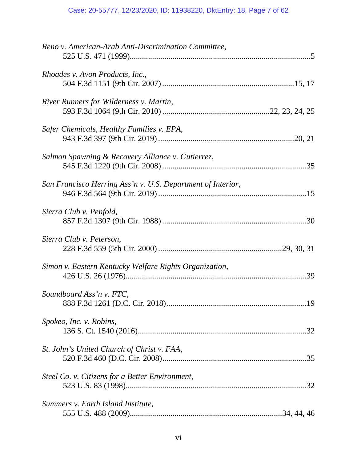# Case: 20-55777, 12/23/2020, ID: 11938220, DktEntry: 18, Page 7 of 62

| Reno v. American-Arab Anti-Discrimination Committee,        |     |
|-------------------------------------------------------------|-----|
| Rhoades v. Avon Products, Inc.,                             |     |
| River Runners for Wilderness v. Martin,                     |     |
| Safer Chemicals, Healthy Families v. EPA,                   |     |
| Salmon Spawning & Recovery Alliance v. Gutierrez,           |     |
| San Francisco Herring Ass'n v. U.S. Department of Interior, |     |
| Sierra Club v. Penfold,                                     |     |
| Sierra Club v. Peterson,                                    |     |
| Simon v. Eastern Kentucky Welfare Rights Organization,      |     |
| Soundboard Ass'n v. FTC,                                    | .19 |
| Spokeo, Inc. v. Robins,                                     |     |
| St. John's United Church of Christ v. FAA,                  |     |
| Steel Co. v. Citizens for a Better Environment,             |     |
| Summers v. Earth Island Institute,                          |     |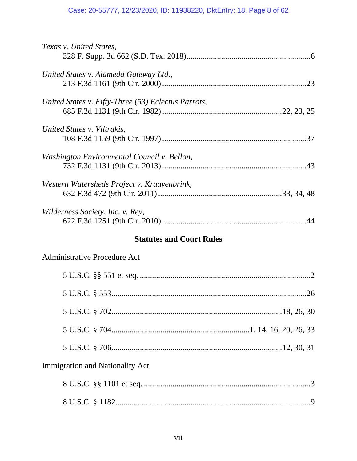# Case: 20-55777, 12/23/2020, ID: 11938220, DktEntry: 18, Page 8 of 62

| Texas v. United States,                             |
|-----------------------------------------------------|
| United States v. Alameda Gateway Ltd.,              |
| United States v. Fifty-Three (53) Eclectus Parrots, |
| United States v. Viltrakis,                         |
| Washington Environmental Council v. Bellon,         |
| Western Watersheds Project v. Kraayenbrink,         |
| Wilderness Society, Inc. v. Rey,                    |
| <b>Statutes and Court Rules</b>                     |
|                                                     |
| Administrative Procedure Act                        |
|                                                     |
|                                                     |
|                                                     |
|                                                     |
|                                                     |
| <b>Immigration and Nationality Act</b>              |
|                                                     |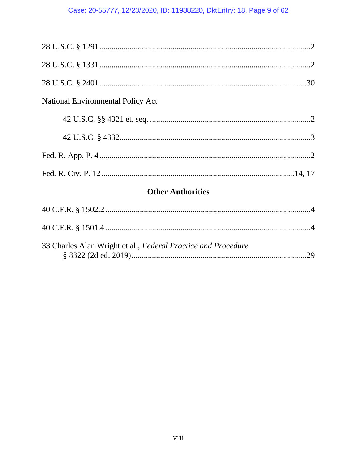# Case: 20-55777, 12/23/2020, ID: 11938220, DktEntry: 18, Page 9 of 62

| <b>Other Authorities</b><br>$A \cap C \Gamma \cap S$ 1500 0 |  |
|-------------------------------------------------------------|--|
|                                                             |  |
|                                                             |  |
|                                                             |  |
|                                                             |  |
| <b>National Environmental Policy Act</b>                    |  |
|                                                             |  |
|                                                             |  |
|                                                             |  |

| 33 Charles Alan Wright et al., Federal Practice and Procedure |  |
|---------------------------------------------------------------|--|
|                                                               |  |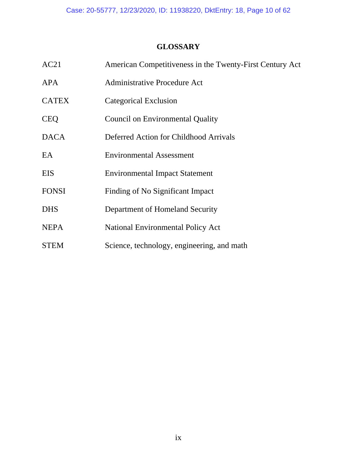# **GLOSSARY**

| AC21         | American Competitiveness in the Twenty-First Century Act |
|--------------|----------------------------------------------------------|
| <b>APA</b>   | <b>Administrative Procedure Act</b>                      |
| <b>CATEX</b> | Categorical Exclusion                                    |
| <b>CEQ</b>   | <b>Council on Environmental Quality</b>                  |
| <b>DACA</b>  | Deferred Action for Childhood Arrivals                   |
| EA           | <b>Environmental Assessment</b>                          |
| <b>EIS</b>   | <b>Environmental Impact Statement</b>                    |
| <b>FONSI</b> | Finding of No Significant Impact                         |
| <b>DHS</b>   | Department of Homeland Security                          |
| <b>NEPA</b>  | <b>National Environmental Policy Act</b>                 |
| <b>STEM</b>  | Science, technology, engineering, and math               |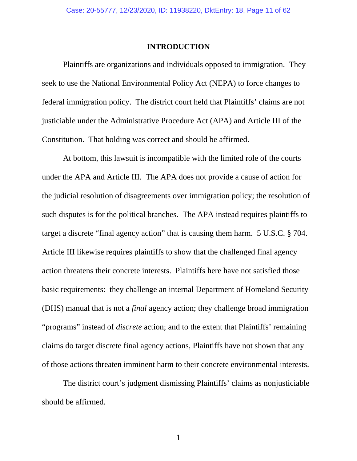#### **INTRODUCTION**

 Plaintiffs are organizations and individuals opposed to immigration. They seek to use the National Environmental Policy Act (NEPA) to force changes to federal immigration policy. The district court held that Plaintiffs' claims are not justiciable under the Administrative Procedure Act (APA) and Article III of the Constitution. That holding was correct and should be affirmed.

 At bottom, this lawsuit is incompatible with the limited role of the courts under the APA and Article III. The APA does not provide a cause of action for the judicial resolution of disagreements over immigration policy; the resolution of such disputes is for the political branches. The APA instead requires plaintiffs to target a discrete "final agency action" that is causing them harm. 5 U.S.C. § 704. Article III likewise requires plaintiffs to show that the challenged final agency action threatens their concrete interests. Plaintiffs here have not satisfied those basic requirements: they challenge an internal Department of Homeland Security (DHS) manual that is not a *final* agency action; they challenge broad immigration "programs" instead of *discrete* action; and to the extent that Plaintiffs' remaining claims do target discrete final agency actions, Plaintiffs have not shown that any of those actions threaten imminent harm to their concrete environmental interests.

 The district court's judgment dismissing Plaintiffs' claims as nonjusticiable should be affirmed.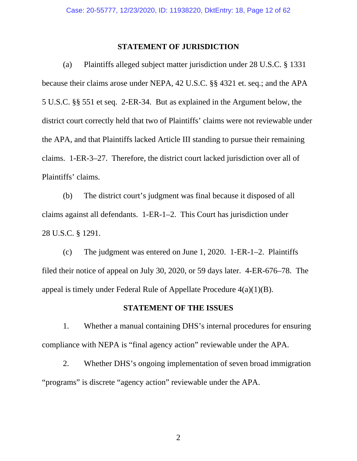#### **STATEMENT OF JURISDICTION**

 (a) Plaintiffs alleged subject matter jurisdiction under 28 U.S.C. § 1331 because their claims arose under NEPA, 42 U.S.C. §§ 4321 et. seq.; and the APA 5 U.S.C. §§ 551 et seq. 2-ER-34. But as explained in the Argument below, the district court correctly held that two of Plaintiffs' claims were not reviewable under the APA, and that Plaintiffs lacked Article III standing to pursue their remaining claims. 1-ER-3–27. Therefore, the district court lacked jurisdiction over all of Plaintiffs' claims.

 (b) The district court's judgment was final because it disposed of all claims against all defendants. 1-ER-1–2. This Court has jurisdiction under 28 U.S.C. § 1291.

 (c) The judgment was entered on June 1, 2020. 1-ER-1–2. Plaintiffs filed their notice of appeal on July 30, 2020, or 59 days later. 4-ER-676–78. The appeal is timely under Federal Rule of Appellate Procedure 4(a)(1)(B).

### **STATEMENT OF THE ISSUES**

 1. Whether a manual containing DHS's internal procedures for ensuring compliance with NEPA is "final agency action" reviewable under the APA.

 2. Whether DHS's ongoing implementation of seven broad immigration "programs" is discrete "agency action" reviewable under the APA.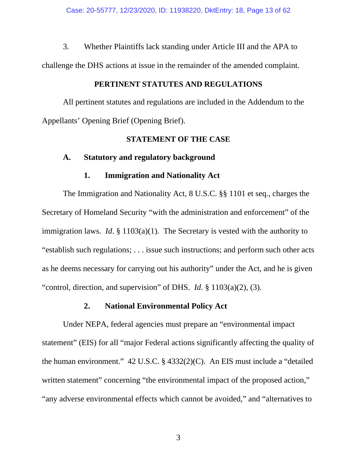3. Whether Plaintiffs lack standing under Article III and the APA to challenge the DHS actions at issue in the remainder of the amended complaint.

### **PERTINENT STATUTES AND REGULATIONS**

 All pertinent statutes and regulations are included in the Addendum to the Appellants' Opening Brief (Opening Brief).

### **STATEMENT OF THE CASE**

### **A. Statutory and regulatory background**

### **1. Immigration and Nationality Act**

 The Immigration and Nationality Act, 8 U.S.C. §§ 1101 et seq., charges the Secretary of Homeland Security "with the administration and enforcement" of the immigration laws. *Id*. § 1103(a)(1). The Secretary is vested with the authority to "establish such regulations; . . . issue such instructions; and perform such other acts as he deems necessary for carrying out his authority" under the Act, and he is given "control, direction, and supervision" of DHS. *Id*. § 1103(a)(2), (3).

### **2. National Environmental Policy Act**

 Under NEPA, federal agencies must prepare an "environmental impact statement" (EIS) for all "major Federal actions significantly affecting the quality of the human environment." 42 U.S.C. § 4332(2)(C). An EIS must include a "detailed written statement" concerning "the environmental impact of the proposed action," "any adverse environmental effects which cannot be avoided," and "alternatives to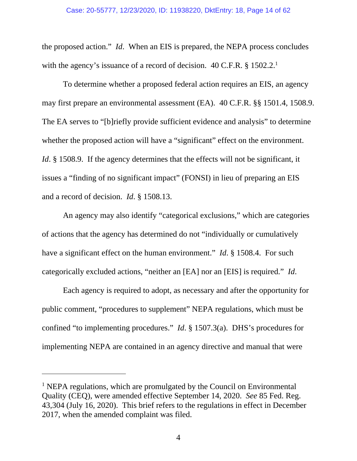#### Case: 20-55777, 12/23/2020, ID: 11938220, DktEntry: 18, Page 14 of 62

the proposed action." *Id*. When an EIS is prepared, the NEPA process concludes with the agency's issuance of a record of decision. 40 C.F.R. § 1502.2.<sup>1</sup>

 To determine whether a proposed federal action requires an EIS, an agency may first prepare an environmental assessment (EA). 40 C.F.R. §§ 1501.4, 1508.9. The EA serves to "[b]riefly provide sufficient evidence and analysis" to determine whether the proposed action will have a "significant" effect on the environment. *Id.* § 1508.9. If the agency determines that the effects will not be significant, it issues a "finding of no significant impact" (FONSI) in lieu of preparing an EIS and a record of decision. *Id*. § 1508.13.

 An agency may also identify "categorical exclusions," which are categories of actions that the agency has determined do not "individually or cumulatively have a significant effect on the human environment." *Id*. § 1508.4. For such categorically excluded actions, "neither an [EA] nor an [EIS] is required." *Id*.

 Each agency is required to adopt, as necessary and after the opportunity for public comment, "procedures to supplement" NEPA regulations, which must be confined "to implementing procedures." *Id*. § 1507.3(a). DHS's procedures for implementing NEPA are contained in an agency directive and manual that were

 $\overline{a}$ 

<sup>&</sup>lt;sup>1</sup> NEPA regulations, which are promulgated by the Council on Environmental Quality (CEQ), were amended effective September 14, 2020. *See* 85 Fed. Reg. 43,304 (July 16, 2020). This brief refers to the regulations in effect in December 2017, when the amended complaint was filed.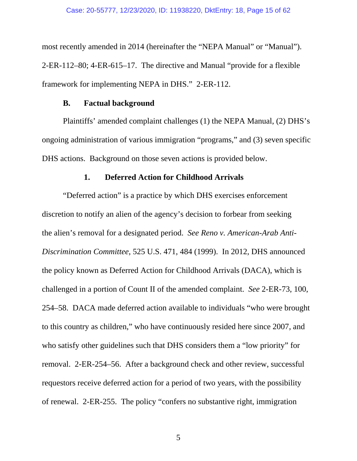most recently amended in 2014 (hereinafter the "NEPA Manual" or "Manual"). 2-ER-112–80; 4-ER-615–17. The directive and Manual "provide for a flexible framework for implementing NEPA in DHS." 2-ER-112.

### **B. Factual background**

 Plaintiffs' amended complaint challenges (1) the NEPA Manual, (2) DHS's ongoing administration of various immigration "programs," and (3) seven specific DHS actions. Background on those seven actions is provided below.

### **1. Deferred Action for Childhood Arrivals**

 "Deferred action" is a practice by which DHS exercises enforcement discretion to notify an alien of the agency's decision to forbear from seeking the alien's removal for a designated period. *See Reno v. American-Arab Anti-Discrimination Committee*, 525 U.S. 471, 484 (1999). In 2012, DHS announced the policy known as Deferred Action for Childhood Arrivals (DACA), which is challenged in a portion of Count II of the amended complaint. *See* 2-ER-73, 100, 254–58. DACA made deferred action available to individuals "who were brought to this country as children," who have continuously resided here since 2007, and who satisfy other guidelines such that DHS considers them a "low priority" for removal. 2-ER-254–56. After a background check and other review, successful requestors receive deferred action for a period of two years, with the possibility of renewal. 2-ER-255. The policy "confers no substantive right, immigration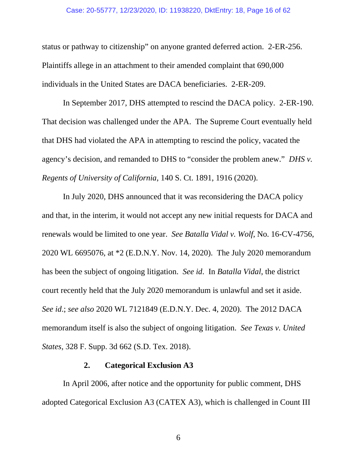#### Case: 20-55777, 12/23/2020, ID: 11938220, DktEntry: 18, Page 16 of 62

status or pathway to citizenship" on anyone granted deferred action. 2-ER-256. Plaintiffs allege in an attachment to their amended complaint that 690,000 individuals in the United States are DACA beneficiaries. 2-ER-209.

 In September 2017, DHS attempted to rescind the DACA policy. 2-ER-190. That decision was challenged under the APA. The Supreme Court eventually held that DHS had violated the APA in attempting to rescind the policy, vacated the agency's decision, and remanded to DHS to "consider the problem anew." *DHS v. Regents of University of California*, 140 S. Ct. 1891, 1916 (2020).

 In July 2020, DHS announced that it was reconsidering the DACA policy and that, in the interim, it would not accept any new initial requests for DACA and renewals would be limited to one year. *See Batalla Vidal v. Wolf*, No. 16-CV-4756, 2020 WL 6695076, at \*2 (E.D.N.Y. Nov. 14, 2020). The July 2020 memorandum has been the subject of ongoing litigation. *See id*. In *Batalla Vidal*, the district court recently held that the July 2020 memorandum is unlawful and set it aside. *See id*.; *see also* 2020 WL 7121849 (E.D.N.Y. Dec. 4, 2020). The 2012 DACA memorandum itself is also the subject of ongoing litigation. *See Texas v. United States*, 328 F. Supp. 3d 662 (S.D. Tex. 2018).

### **2. Categorical Exclusion A3**

 In April 2006, after notice and the opportunity for public comment, DHS adopted Categorical Exclusion A3 (CATEX A3), which is challenged in Count III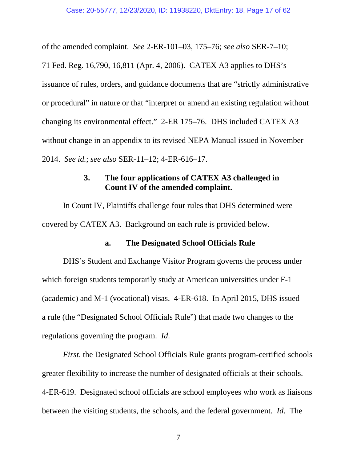of the amended complaint. *See* 2-ER-101–03, 175–76; *see also* SER-7–10;

71 Fed. Reg. 16,790, 16,811 (Apr. 4, 2006). CATEX A3 applies to DHS's issuance of rules, orders, and guidance documents that are "strictly administrative or procedural" in nature or that "interpret or amend an existing regulation without changing its environmental effect." 2-ER 175–76. DHS included CATEX A3 without change in an appendix to its revised NEPA Manual issued in November 2014. *See id.*; *see also* SER-11–12; 4-ER-616–17.

# **3. The four applications of CATEX A3 challenged in Count IV of the amended complaint.**

 In Count IV, Plaintiffs challenge four rules that DHS determined were covered by CATEX A3. Background on each rule is provided below.

### **a. The Designated School Officials Rule**

 DHS's Student and Exchange Visitor Program governs the process under which foreign students temporarily study at American universities under F-1 (academic) and M-1 (vocational) visas. 4-ER-618. In April 2015, DHS issued a rule (the "Designated School Officials Rule") that made two changes to the regulations governing the program. *Id*.

*First*, the Designated School Officials Rule grants program-certified schools greater flexibility to increase the number of designated officials at their schools. 4-ER-619. Designated school officials are school employees who work as liaisons between the visiting students, the schools, and the federal government. *Id*. The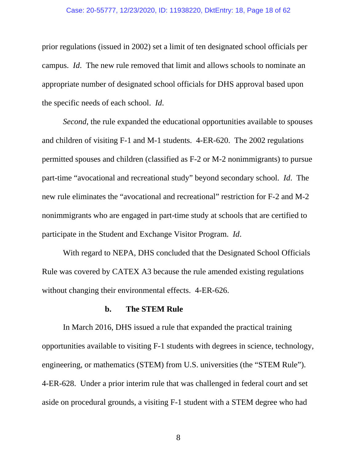#### Case: 20-55777, 12/23/2020, ID: 11938220, DktEntry: 18, Page 18 of 62

prior regulations (issued in 2002) set a limit of ten designated school officials per campus. *Id*. The new rule removed that limit and allows schools to nominate an appropriate number of designated school officials for DHS approval based upon the specific needs of each school. *Id*.

*Second*, the rule expanded the educational opportunities available to spouses and children of visiting F-1 and M-1 students. 4-ER-620. The 2002 regulations permitted spouses and children (classified as F-2 or M-2 nonimmigrants) to pursue part-time "avocational and recreational study" beyond secondary school. *Id*. The new rule eliminates the "avocational and recreational" restriction for F-2 and M-2 nonimmigrants who are engaged in part-time study at schools that are certified to participate in the Student and Exchange Visitor Program. *Id*.

 With regard to NEPA, DHS concluded that the Designated School Officials Rule was covered by CATEX A3 because the rule amended existing regulations without changing their environmental effects. 4-ER-626.

### **b. The STEM Rule**

 In March 2016, DHS issued a rule that expanded the practical training opportunities available to visiting F-1 students with degrees in science, technology, engineering, or mathematics (STEM) from U.S. universities (the "STEM Rule"). 4-ER-628. Under a prior interim rule that was challenged in federal court and set aside on procedural grounds, a visiting F-1 student with a STEM degree who had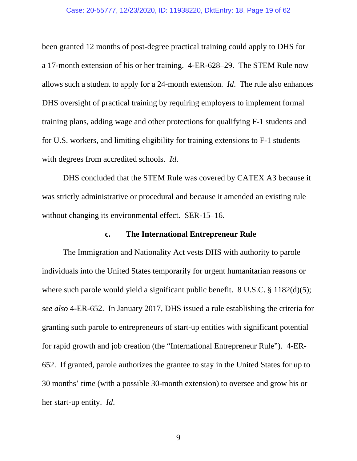#### Case: 20-55777, 12/23/2020, ID: 11938220, DktEntry: 18, Page 19 of 62

been granted 12 months of post-degree practical training could apply to DHS for a 17-month extension of his or her training. 4-ER-628–29. The STEM Rule now allows such a student to apply for a 24-month extension. *Id*. The rule also enhances DHS oversight of practical training by requiring employers to implement formal training plans, adding wage and other protections for qualifying F-1 students and for U.S. workers, and limiting eligibility for training extensions to F-1 students with degrees from accredited schools. *Id*.

 DHS concluded that the STEM Rule was covered by CATEX A3 because it was strictly administrative or procedural and because it amended an existing rule without changing its environmental effect. SER-15–16.

### **c. The International Entrepreneur Rule**

 The Immigration and Nationality Act vests DHS with authority to parole individuals into the United States temporarily for urgent humanitarian reasons or where such parole would yield a significant public benefit. 8 U.S.C. § 1182(d)(5); *see also* 4-ER-652. In January 2017, DHS issued a rule establishing the criteria for granting such parole to entrepreneurs of start-up entities with significant potential for rapid growth and job creation (the "International Entrepreneur Rule"). 4-ER-652. If granted, parole authorizes the grantee to stay in the United States for up to 30 months' time (with a possible 30-month extension) to oversee and grow his or her start-up entity. *Id*.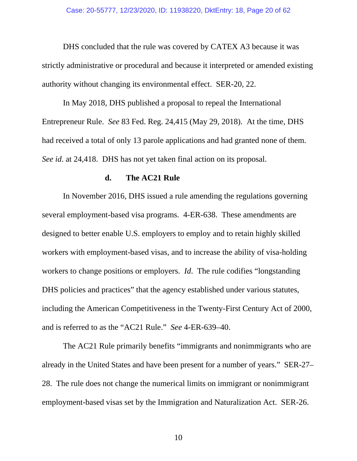DHS concluded that the rule was covered by CATEX A3 because it was strictly administrative or procedural and because it interpreted or amended existing authority without changing its environmental effect. SER-20, 22.

 In May 2018, DHS published a proposal to repeal the International Entrepreneur Rule. *See* 83 Fed. Reg. 24,415 (May 29, 2018). At the time, DHS had received a total of only 13 parole applications and had granted none of them. *See id*. at 24,418. DHS has not yet taken final action on its proposal.

### **d. The AC21 Rule**

 In November 2016, DHS issued a rule amending the regulations governing several employment-based visa programs. 4-ER-638. These amendments are designed to better enable U.S. employers to employ and to retain highly skilled workers with employment-based visas, and to increase the ability of visa-holding workers to change positions or employers. *Id*. The rule codifies "longstanding DHS policies and practices" that the agency established under various statutes, including the American Competitiveness in the Twenty-First Century Act of 2000, and is referred to as the "AC21 Rule." *See* 4-ER-639–40.

 The AC21 Rule primarily benefits "immigrants and nonimmigrants who are already in the United States and have been present for a number of years." SER-27– 28. The rule does not change the numerical limits on immigrant or nonimmigrant employment-based visas set by the Immigration and Naturalization Act. SER-26.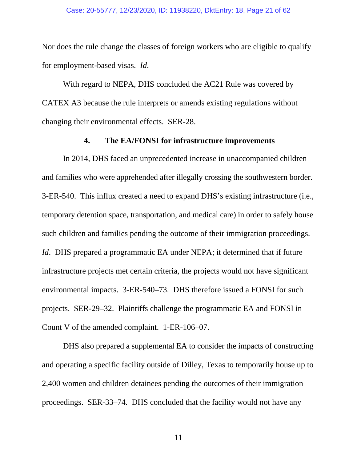Nor does the rule change the classes of foreign workers who are eligible to qualify for employment-based visas. *Id*.

 With regard to NEPA, DHS concluded the AC21 Rule was covered by CATEX A3 because the rule interprets or amends existing regulations without changing their environmental effects. SER-28.

### **4. The EA/FONSI for infrastructure improvements**

 In 2014, DHS faced an unprecedented increase in unaccompanied children and families who were apprehended after illegally crossing the southwestern border. 3-ER-540. This influx created a need to expand DHS's existing infrastructure (i.e., temporary detention space, transportation, and medical care) in order to safely house such children and families pending the outcome of their immigration proceedings. *Id.* DHS prepared a programmatic EA under NEPA; it determined that if future infrastructure projects met certain criteria, the projects would not have significant environmental impacts. 3-ER-540–73. DHS therefore issued a FONSI for such projects. SER-29–32. Plaintiffs challenge the programmatic EA and FONSI in Count V of the amended complaint. 1-ER-106–07.

 DHS also prepared a supplemental EA to consider the impacts of constructing and operating a specific facility outside of Dilley, Texas to temporarily house up to 2,400 women and children detainees pending the outcomes of their immigration proceedings. SER-33–74. DHS concluded that the facility would not have any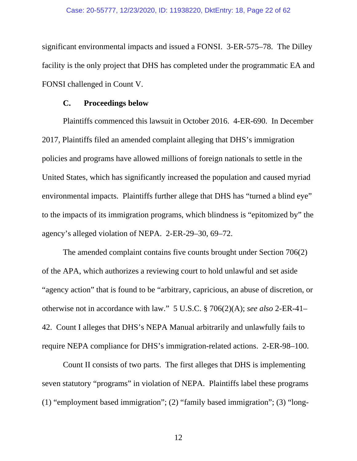#### Case: 20-55777, 12/23/2020, ID: 11938220, DktEntry: 18, Page 22 of 62

significant environmental impacts and issued a FONSI. 3-ER-575–78. The Dilley facility is the only project that DHS has completed under the programmatic EA and FONSI challenged in Count V.

### **C. Proceedings below**

 Plaintiffs commenced this lawsuit in October 2016. 4-ER-690. In December 2017, Plaintiffs filed an amended complaint alleging that DHS's immigration policies and programs have allowed millions of foreign nationals to settle in the United States, which has significantly increased the population and caused myriad environmental impacts. Plaintiffs further allege that DHS has "turned a blind eye" to the impacts of its immigration programs, which blindness is "epitomized by" the agency's alleged violation of NEPA. 2-ER-29–30, 69–72.

 The amended complaint contains five counts brought under Section 706(2) of the APA, which authorizes a reviewing court to hold unlawful and set aside "agency action" that is found to be "arbitrary, capricious, an abuse of discretion, or otherwise not in accordance with law." 5 U.S.C. § 706(2)(A); *see also* 2-ER-41– 42. Count I alleges that DHS's NEPA Manual arbitrarily and unlawfully fails to require NEPA compliance for DHS's immigration-related actions. 2-ER-98–100.

 Count II consists of two parts. The first alleges that DHS is implementing seven statutory "programs" in violation of NEPA. Plaintiffs label these programs (1) "employment based immigration"; (2) "family based immigration"; (3) "long-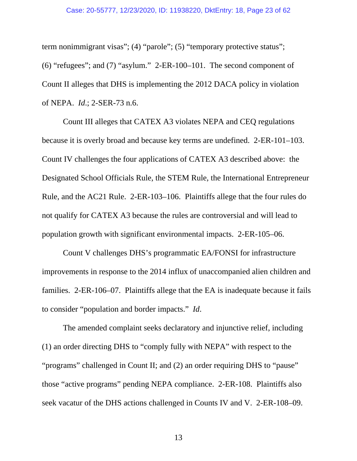term nonimmigrant visas"; (4) "parole"; (5) "temporary protective status"; (6) "refugees"; and (7) "asylum." 2-ER-100–101. The second component of Count II alleges that DHS is implementing the 2012 DACA policy in violation of NEPA. *Id*.; 2-SER-73 n.6.

 Count III alleges that CATEX A3 violates NEPA and CEQ regulations because it is overly broad and because key terms are undefined. 2-ER-101–103. Count IV challenges the four applications of CATEX A3 described above: the Designated School Officials Rule, the STEM Rule, the International Entrepreneur Rule, and the AC21 Rule. 2-ER-103–106. Plaintiffs allege that the four rules do not qualify for CATEX A3 because the rules are controversial and will lead to population growth with significant environmental impacts. 2-ER-105–06.

 Count V challenges DHS's programmatic EA/FONSI for infrastructure improvements in response to the 2014 influx of unaccompanied alien children and families. 2-ER-106–07. Plaintiffs allege that the EA is inadequate because it fails to consider "population and border impacts." *Id*.

 The amended complaint seeks declaratory and injunctive relief, including (1) an order directing DHS to "comply fully with NEPA" with respect to the "programs" challenged in Count II; and (2) an order requiring DHS to "pause" those "active programs" pending NEPA compliance. 2-ER-108. Plaintiffs also seek vacatur of the DHS actions challenged in Counts IV and V. 2-ER-108–09.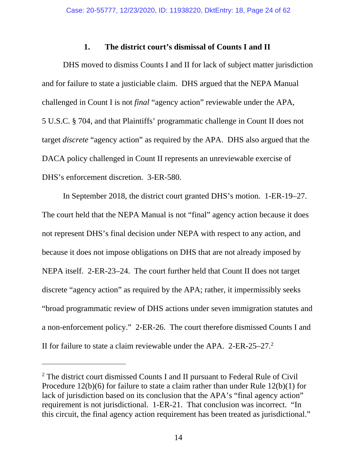### **1. The district court's dismissal of Counts I and II**

 DHS moved to dismiss Counts I and II for lack of subject matter jurisdiction and for failure to state a justiciable claim. DHS argued that the NEPA Manual challenged in Count I is not *final* "agency action" reviewable under the APA, 5 U.S.C. § 704, and that Plaintiffs' programmatic challenge in Count II does not target *discrete* "agency action" as required by the APA. DHS also argued that the DACA policy challenged in Count II represents an unreviewable exercise of DHS's enforcement discretion. 3-ER-580.

 In September 2018, the district court granted DHS's motion. 1-ER-19–27. The court held that the NEPA Manual is not "final" agency action because it does not represent DHS's final decision under NEPA with respect to any action, and because it does not impose obligations on DHS that are not already imposed by NEPA itself. 2-ER-23–24. The court further held that Count II does not target discrete "agency action" as required by the APA; rather, it impermissibly seeks "broad programmatic review of DHS actions under seven immigration statutes and a non-enforcement policy." 2-ER-26. The court therefore dismissed Counts I and II for failure to state a claim reviewable under the APA. 2-ER-25–27.2

l

<sup>&</sup>lt;sup>2</sup> The district court dismissed Counts I and II pursuant to Federal Rule of Civil Procedure 12(b)(6) for failure to state a claim rather than under Rule 12(b)(1) for lack of jurisdiction based on its conclusion that the APA's "final agency action" requirement is not jurisdictional. 1-ER-21. That conclusion was incorrect. "In this circuit, the final agency action requirement has been treated as jurisdictional."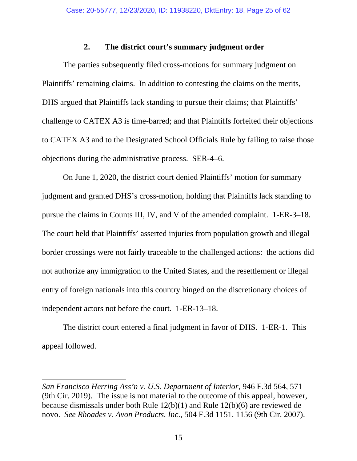## **2. The district court's summary judgment order**

 The parties subsequently filed cross-motions for summary judgment on Plaintiffs' remaining claims. In addition to contesting the claims on the merits, DHS argued that Plaintiffs lack standing to pursue their claims; that Plaintiffs' challenge to CATEX A3 is time-barred; and that Plaintiffs forfeited their objections to CATEX A3 and to the Designated School Officials Rule by failing to raise those objections during the administrative process. SER-4–6.

 On June 1, 2020, the district court denied Plaintiffs' motion for summary judgment and granted DHS's cross-motion, holding that Plaintiffs lack standing to pursue the claims in Counts III, IV, and V of the amended complaint. 1-ER-3–18. The court held that Plaintiffs' asserted injuries from population growth and illegal border crossings were not fairly traceable to the challenged actions: the actions did not authorize any immigration to the United States, and the resettlement or illegal entry of foreign nationals into this country hinged on the discretionary choices of independent actors not before the court. 1-ER-13–18.

 The district court entered a final judgment in favor of DHS. 1-ER-1. This appeal followed.

 $\overline{a}$ *San Francisco Herring Ass'n v. U.S. Department of Interior*, 946 F.3d 564, 571 (9th Cir. 2019). The issue is not material to the outcome of this appeal, however, because dismissals under both Rule 12(b)(1) and Rule 12(b)(6) are reviewed de novo. *See Rhoades v. Avon Products, Inc*., 504 F.3d 1151, 1156 (9th Cir. 2007).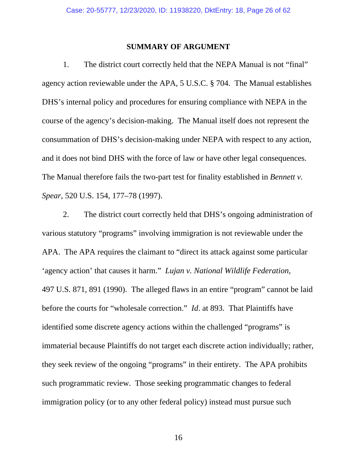#### **SUMMARY OF ARGUMENT**

 1. The district court correctly held that the NEPA Manual is not "final" agency action reviewable under the APA, 5 U.S.C. § 704. The Manual establishes DHS's internal policy and procedures for ensuring compliance with NEPA in the course of the agency's decision-making. The Manual itself does not represent the consummation of DHS's decision-making under NEPA with respect to any action, and it does not bind DHS with the force of law or have other legal consequences. The Manual therefore fails the two-part test for finality established in *Bennett v. Spear*, 520 U.S. 154, 177–78 (1997).

 2. The district court correctly held that DHS's ongoing administration of various statutory "programs" involving immigration is not reviewable under the APA. The APA requires the claimant to "direct its attack against some particular 'agency action' that causes it harm." *Lujan v. National Wildlife Federation*, 497 U.S. 871, 891 (1990). The alleged flaws in an entire "program" cannot be laid before the courts for "wholesale correction." *Id*. at 893. That Plaintiffs have identified some discrete agency actions within the challenged "programs" is immaterial because Plaintiffs do not target each discrete action individually; rather, they seek review of the ongoing "programs" in their entirety. The APA prohibits such programmatic review. Those seeking programmatic changes to federal immigration policy (or to any other federal policy) instead must pursue such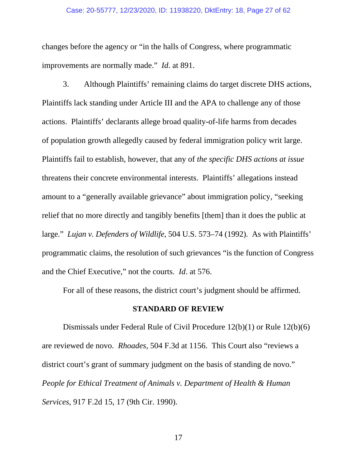#### Case: 20-55777, 12/23/2020, ID: 11938220, DktEntry: 18, Page 27 of 62

changes before the agency or "in the halls of Congress, where programmatic improvements are normally made." *Id*. at 891.

 3. Although Plaintiffs' remaining claims do target discrete DHS actions, Plaintiffs lack standing under Article III and the APA to challenge any of those actions. Plaintiffs' declarants allege broad quality-of-life harms from decades of population growth allegedly caused by federal immigration policy writ large. Plaintiffs fail to establish, however, that any of *the specific DHS actions at issue* threatens their concrete environmental interests. Plaintiffs' allegations instead amount to a "generally available grievance" about immigration policy, "seeking relief that no more directly and tangibly benefits [them] than it does the public at large." *Lujan v. Defenders of Wildlife*, 504 U.S. 573–74 (1992). As with Plaintiffs' programmatic claims, the resolution of such grievances "is the function of Congress and the Chief Executive," not the courts. *Id*. at 576.

For all of these reasons, the district court's judgment should be affirmed.

### **STANDARD OF REVIEW**

 Dismissals under Federal Rule of Civil Procedure 12(b)(1) or Rule 12(b)(6) are reviewed de novo. *Rhoades*, 504 F.3d at 1156. This Court also "reviews a district court's grant of summary judgment on the basis of standing de novo." *People for Ethical Treatment of Animals v. Department of Health & Human Services*, 917 F.2d 15, 17 (9th Cir. 1990).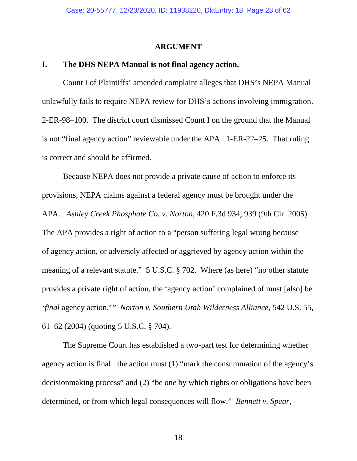#### **ARGUMENT**

### **I. The DHS NEPA Manual is not final agency action.**

 Count I of Plaintiffs' amended complaint alleges that DHS's NEPA Manual unlawfully fails to require NEPA review for DHS's actions involving immigration. 2-ER-98–100. The district court dismissed Count I on the ground that the Manual is not "final agency action" reviewable under the APA. 1-ER-22–25. That ruling is correct and should be affirmed.

 Because NEPA does not provide a private cause of action to enforce its provisions, NEPA claims against a federal agency must be brought under the APA. *Ashley Creek Phosphate Co. v. Norton*, 420 F.3d 934, 939 (9th Cir. 2005). The APA provides a right of action to a "person suffering legal wrong because of agency action, or adversely affected or aggrieved by agency action within the meaning of a relevant statute." 5 U.S.C. § 702. Where (as here) "no other statute provides a private right of action, the 'agency action' complained of must [also] be '*final* agency action.' " *Norton v. Southern Utah Wilderness Alliance*, 542 U.S. 55, 61–62 (2004) (quoting 5 U.S.C. § 704).

 The Supreme Court has established a two-part test for determining whether agency action is final: the action must (1) "mark the consummation of the agency's decisionmaking process" and (2) "be one by which rights or obligations have been determined, or from which legal consequences will flow." *Bennett v. Spear*,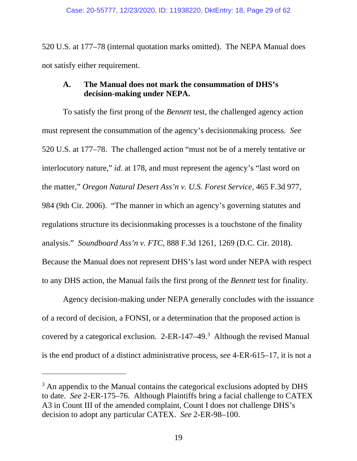520 U.S. at 177–78 (internal quotation marks omitted). The NEPA Manual does not satisfy either requirement.

# **A. The Manual does not mark the consummation of DHS's decision-making under NEPA.**

 To satisfy the first prong of the *Bennett* test, the challenged agency action must represent the consummation of the agency's decisionmaking process. *See*  520 U.S. at 177–78. The challenged action "must not be of a merely tentative or interlocutory nature," *id.* at 178, and must represent the agency's "last word on the matter," *Oregon Natural Desert Ass'n v. U.S. Forest Service*, 465 F.3d 977, 984 (9th Cir. 2006). "The manner in which an agency's governing statutes and regulations structure its decisionmaking processes is a touchstone of the finality analysis." *Soundboard Ass'n v. FTC*, 888 F.3d 1261, 1269 (D.C. Cir. 2018). Because the Manual does not represent DHS's last word under NEPA with respect to any DHS action, the Manual fails the first prong of the *Bennett* test for finality.

 Agency decision-making under NEPA generally concludes with the issuance of a record of decision, a FONSI, or a determination that the proposed action is covered by a categorical exclusion.  $2$ -ER-147–49.<sup>3</sup> Although the revised Manual is the end product of a distinct administrative process, *see* 4-ER-615–17, it is not a

 $\overline{a}$ 

 $3$  An appendix to the Manual contains the categorical exclusions adopted by DHS to date. *See* 2-ER-175–76. Although Plaintiffs bring a facial challenge to CATEX A3 in Count III of the amended complaint, Count I does not challenge DHS's decision to adopt any particular CATEX. *See* 2-ER-98–100.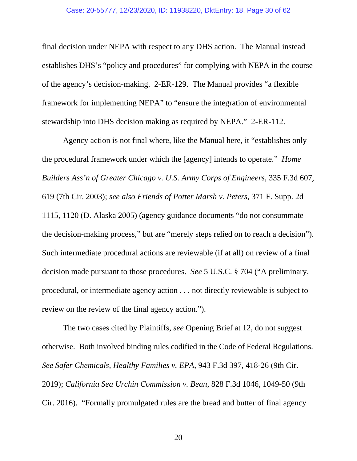#### Case: 20-55777, 12/23/2020, ID: 11938220, DktEntry: 18, Page 30 of 62

final decision under NEPA with respect to any DHS action. The Manual instead establishes DHS's "policy and procedures" for complying with NEPA in the course of the agency's decision-making. 2-ER-129. The Manual provides "a flexible framework for implementing NEPA" to "ensure the integration of environmental stewardship into DHS decision making as required by NEPA." 2-ER-112.

 Agency action is not final where, like the Manual here, it "establishes only the procedural framework under which the [agency] intends to operate." *Home Builders Ass'n of Greater Chicago v. U.S. Army Corps of Engineers*, 335 F.3d 607, 619 (7th Cir. 2003); *see also Friends of Potter Marsh v. Peters*, 371 F. Supp. 2d 1115, 1120 (D. Alaska 2005) (agency guidance documents "do not consummate the decision-making process," but are "merely steps relied on to reach a decision"). Such intermediate procedural actions are reviewable (if at all) on review of a final decision made pursuant to those procedures. *See* 5 U.S.C. § 704 ("A preliminary, procedural, or intermediate agency action . . . not directly reviewable is subject to review on the review of the final agency action.").

 The two cases cited by Plaintiffs, *see* Opening Brief at 12, do not suggest otherwise. Both involved binding rules codified in the Code of Federal Regulations. *See Safer Chemicals, Healthy Families v. EPA*, 943 F.3d 397, 418-26 (9th Cir. 2019); *California Sea Urchin Commission v. Bean*, 828 F.3d 1046, 1049-50 (9th Cir. 2016). "Formally promulgated rules are the bread and butter of final agency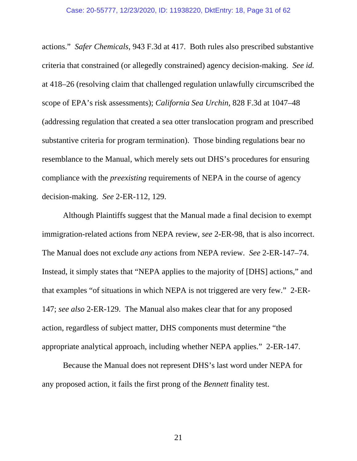actions." *Safer Chemicals*, 943 F.3d at 417. Both rules also prescribed substantive criteria that constrained (or allegedly constrained) agency decision-making. *See id.* at 418–26 (resolving claim that challenged regulation unlawfully circumscribed the scope of EPA's risk assessments); *California Sea Urchin*, 828 F.3d at 1047–48 (addressing regulation that created a sea otter translocation program and prescribed substantive criteria for program termination). Those binding regulations bear no resemblance to the Manual, which merely sets out DHS's procedures for ensuring compliance with the *preexisting* requirements of NEPA in the course of agency decision-making. *See* 2-ER-112, 129.

 Although Plaintiffs suggest that the Manual made a final decision to exempt immigration-related actions from NEPA review, *see* 2-ER-98, that is also incorrect. The Manual does not exclude *any* actions from NEPA review. *See* 2-ER-147–74. Instead, it simply states that "NEPA applies to the majority of [DHS] actions," and that examples "of situations in which NEPA is not triggered are very few." 2-ER-147; *see also* 2-ER-129. The Manual also makes clear that for any proposed action, regardless of subject matter, DHS components must determine "the appropriate analytical approach, including whether NEPA applies." 2-ER-147.

 Because the Manual does not represent DHS's last word under NEPA for any proposed action, it fails the first prong of the *Bennett* finality test.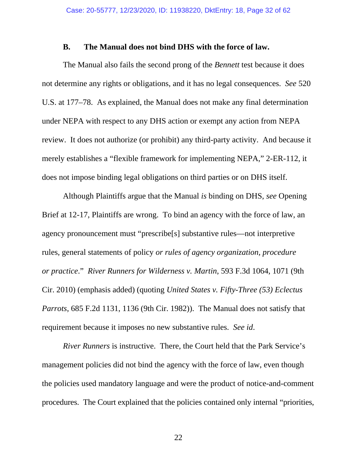### **B. The Manual does not bind DHS with the force of law.**

 The Manual also fails the second prong of the *Bennett* test because it does not determine any rights or obligations, and it has no legal consequences. *See* 520 U.S. at 177–78. As explained, the Manual does not make any final determination under NEPA with respect to any DHS action or exempt any action from NEPA review. It does not authorize (or prohibit) any third-party activity. And because it merely establishes a "flexible framework for implementing NEPA," 2-ER-112, it does not impose binding legal obligations on third parties or on DHS itself.

 Although Plaintiffs argue that the Manual *is* binding on DHS, *see* Opening Brief at 12-17, Plaintiffs are wrong. To bind an agency with the force of law, an agency pronouncement must "prescribe[s] substantive rules—not interpretive rules, general statements of policy *or rules of agency organization, procedure or practice*." *River Runners for Wilderness v. Martin*, 593 F.3d 1064, 1071 (9th Cir. 2010) (emphasis added) (quoting *United States v. Fifty-Three (53) Eclectus Parrots*, 685 F.2d 1131, 1136 (9th Cir. 1982)). The Manual does not satisfy that requirement because it imposes no new substantive rules. *See id*.

*River Runners* is instructive. There, the Court held that the Park Service's management policies did not bind the agency with the force of law, even though the policies used mandatory language and were the product of notice-and-comment procedures. The Court explained that the policies contained only internal "priorities,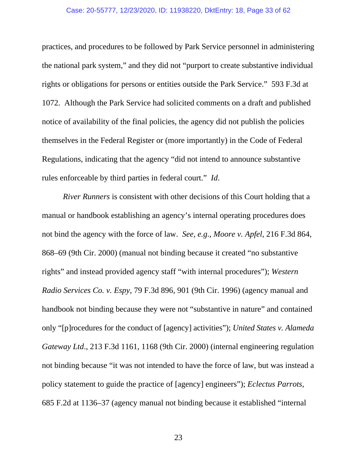#### Case: 20-55777, 12/23/2020, ID: 11938220, DktEntry: 18, Page 33 of 62

practices, and procedures to be followed by Park Service personnel in administering the national park system," and they did not "purport to create substantive individual rights or obligations for persons or entities outside the Park Service." 593 F.3d at 1072. Although the Park Service had solicited comments on a draft and published notice of availability of the final policies, the agency did not publish the policies themselves in the Federal Register or (more importantly) in the Code of Federal Regulations, indicating that the agency "did not intend to announce substantive rules enforceable by third parties in federal court." *Id*.

*River Runners* is consistent with other decisions of this Court holding that a manual or handbook establishing an agency's internal operating procedures does not bind the agency with the force of law. *See, e.g*., *Moore v. Apfel*, 216 F.3d 864, 868–69 (9th Cir. 2000) (manual not binding because it created "no substantive rights" and instead provided agency staff "with internal procedures"); *Western Radio Services Co. v. Espy*, 79 F.3d 896, 901 (9th Cir. 1996) (agency manual and handbook not binding because they were not "substantive in nature" and contained only "[p]rocedures for the conduct of [agency] activities"); *United States v. Alameda Gateway Ltd*., 213 F.3d 1161, 1168 (9th Cir. 2000) (internal engineering regulation not binding because "it was not intended to have the force of law, but was instead a policy statement to guide the practice of [agency] engineers"); *Eclectus Parrots*, 685 F.2d at 1136–37 (agency manual not binding because it established "internal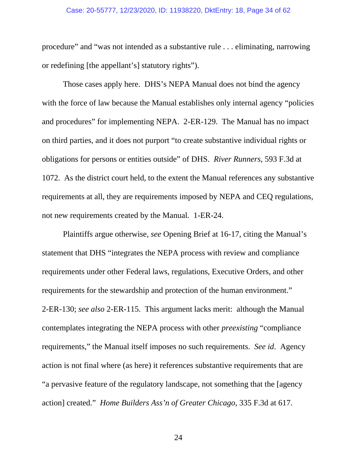#### Case: 20-55777, 12/23/2020, ID: 11938220, DktEntry: 18, Page 34 of 62

procedure" and "was not intended as a substantive rule . . . eliminating, narrowing or redefining [the appellant's] statutory rights").

 Those cases apply here. DHS's NEPA Manual does not bind the agency with the force of law because the Manual establishes only internal agency "policies" and procedures" for implementing NEPA. 2-ER-129. The Manual has no impact on third parties, and it does not purport "to create substantive individual rights or obligations for persons or entities outside" of DHS. *River Runners*, 593 F.3d at 1072. As the district court held, to the extent the Manual references any substantive requirements at all, they are requirements imposed by NEPA and CEQ regulations, not new requirements created by the Manual. 1-ER-24.

 Plaintiffs argue otherwise, *see* Opening Brief at 16-17, citing the Manual's statement that DHS "integrates the NEPA process with review and compliance requirements under other Federal laws, regulations, Executive Orders, and other requirements for the stewardship and protection of the human environment." 2-ER-130; *see also* 2-ER-115. This argument lacks merit: although the Manual contemplates integrating the NEPA process with other *preexisting* "compliance requirements," the Manual itself imposes no such requirements. *See id*. Agency action is not final where (as here) it references substantive requirements that are "a pervasive feature of the regulatory landscape, not something that the [agency action] created." *Home Builders Ass'n of Greater Chicago*, 335 F.3d at 617.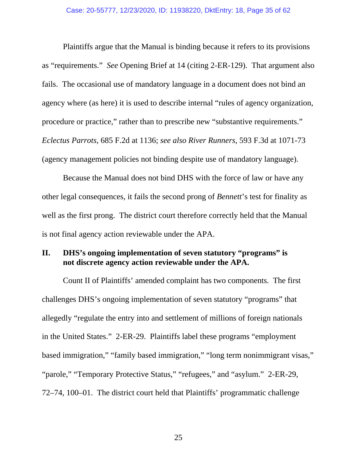Plaintiffs argue that the Manual is binding because it refers to its provisions as "requirements." *See* Opening Brief at 14 (citing 2-ER-129). That argument also fails. The occasional use of mandatory language in a document does not bind an agency where (as here) it is used to describe internal "rules of agency organization, procedure or practice," rather than to prescribe new "substantive requirements." *Eclectus Parrots*, 685 F.2d at 1136; *see also River Runners*, 593 F.3d at 1071-73 (agency management policies not binding despite use of mandatory language).

 Because the Manual does not bind DHS with the force of law or have any other legal consequences, it fails the second prong of *Bennett*'s test for finality as well as the first prong. The district court therefore correctly held that the Manual is not final agency action reviewable under the APA.

## **II. DHS's ongoing implementation of seven statutory "programs" is not discrete agency action reviewable under the APA.**

 Count II of Plaintiffs' amended complaint has two components. The first challenges DHS's ongoing implementation of seven statutory "programs" that allegedly "regulate the entry into and settlement of millions of foreign nationals in the United States." 2-ER-29. Plaintiffs label these programs "employment based immigration," "family based immigration," "long term nonimmigrant visas," "parole," "Temporary Protective Status," "refugees," and "asylum." 2-ER-29, 72–74, 100–01. The district court held that Plaintiffs' programmatic challenge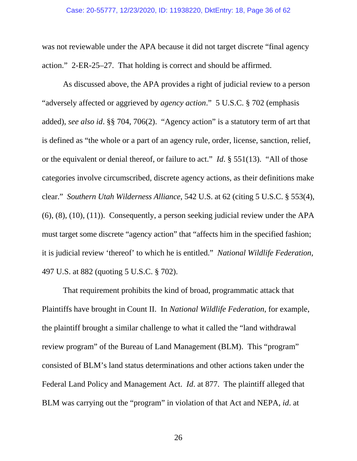was not reviewable under the APA because it did not target discrete "final agency action." 2-ER-25–27. That holding is correct and should be affirmed.

 As discussed above, the APA provides a right of judicial review to a person "adversely affected or aggrieved by *agency action*." 5 U.S.C. § 702 (emphasis added), *see also id*. §§ 704, 706(2). "Agency action" is a statutory term of art that is defined as "the whole or a part of an agency rule, order, license, sanction, relief, or the equivalent or denial thereof, or failure to act." *Id*. § 551(13). "All of those categories involve circumscribed, discrete agency actions, as their definitions make clear." *Southern Utah Wilderness Alliance*, 542 U.S. at 62 (citing 5 U.S.C. § 553(4), (6), (8), (10), (11)). Consequently, a person seeking judicial review under the APA must target some discrete "agency action" that "affects him in the specified fashion; it is judicial review 'thereof' to which he is entitled." *National Wildlife Federation*, 497 U.S. at 882 (quoting 5 U.S.C. § 702).

 That requirement prohibits the kind of broad, programmatic attack that Plaintiffs have brought in Count II. In *National Wildlife Federation*, for example, the plaintiff brought a similar challenge to what it called the "land withdrawal review program" of the Bureau of Land Management (BLM). This "program" consisted of BLM's land status determinations and other actions taken under the Federal Land Policy and Management Act. *Id*. at 877. The plaintiff alleged that BLM was carrying out the "program" in violation of that Act and NEPA, *id*. at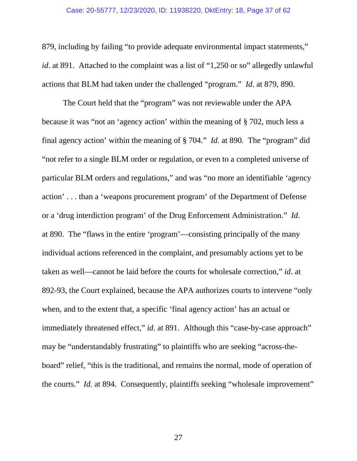#### Case: 20-55777, 12/23/2020, ID: 11938220, DktEntry: 18, Page 37 of 62

879, including by failing "to provide adequate environmental impact statements," *id*. at 891. Attached to the complaint was a list of "1,250 or so" allegedly unlawful actions that BLM had taken under the challenged "program." *Id*. at 879, 890.

 The Court held that the "program" was not reviewable under the APA because it was "not an 'agency action' within the meaning of § 702, much less a final agency action' within the meaning of § 704." *Id*. at 890. The "program" did "not refer to a single BLM order or regulation, or even to a completed universe of particular BLM orders and regulations," and was "no more an identifiable 'agency action' . . . than a 'weapons procurement program' of the Department of Defense or a 'drug interdiction program' of the Drug Enforcement Administration." *Id*. at 890. The "flaws in the entire 'program'—consisting principally of the many individual actions referenced in the complaint, and presumably actions yet to be taken as well—cannot be laid before the courts for wholesale correction," *id*. at 892-93, the Court explained, because the APA authorizes courts to intervene "only when, and to the extent that, a specific 'final agency action' has an actual or immediately threatened effect," *id*. at 891. Although this "case-by-case approach" may be "understandably frustrating" to plaintiffs who are seeking "across-theboard" relief, "this is the traditional, and remains the normal, mode of operation of the courts." *Id.* at 894. Consequently, plaintiffs seeking "wholesale improvement"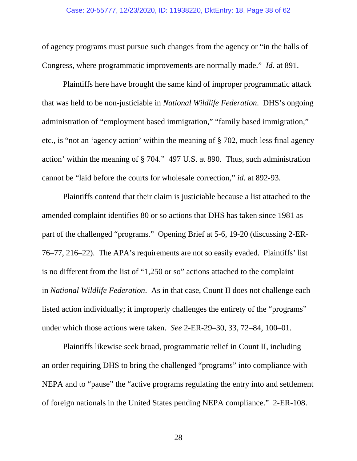#### Case: 20-55777, 12/23/2020, ID: 11938220, DktEntry: 18, Page 38 of 62

of agency programs must pursue such changes from the agency or "in the halls of Congress, where programmatic improvements are normally made." *Id*. at 891.

 Plaintiffs here have brought the same kind of improper programmatic attack that was held to be non-justiciable in *National Wildlife Federation*. DHS's ongoing administration of "employment based immigration," "family based immigration," etc., is "not an 'agency action' within the meaning of § 702, much less final agency action' within the meaning of § 704." 497 U.S. at 890. Thus, such administration cannot be "laid before the courts for wholesale correction," *id*. at 892-93.

 Plaintiffs contend that their claim is justiciable because a list attached to the amended complaint identifies 80 or so actions that DHS has taken since 1981 as part of the challenged "programs." Opening Brief at 5-6, 19-20 (discussing 2-ER-76–77, 216–22). The APA's requirements are not so easily evaded. Plaintiffs' list is no different from the list of "1,250 or so" actions attached to the complaint in *National Wildlife Federation*. As in that case, Count II does not challenge each listed action individually; it improperly challenges the entirety of the "programs" under which those actions were taken. *See* 2-ER-29–30, 33, 72–84, 100–01.

 Plaintiffs likewise seek broad, programmatic relief in Count II, including an order requiring DHS to bring the challenged "programs" into compliance with NEPA and to "pause" the "active programs regulating the entry into and settlement of foreign nationals in the United States pending NEPA compliance." 2-ER-108.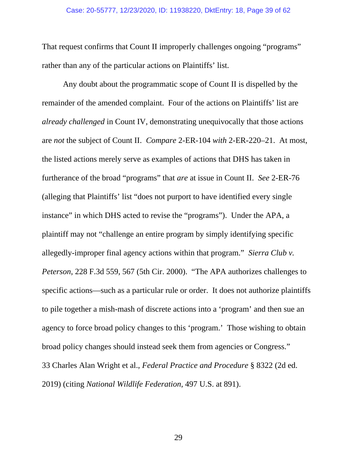#### Case: 20-55777, 12/23/2020, ID: 11938220, DktEntry: 18, Page 39 of 62

That request confirms that Count II improperly challenges ongoing "programs" rather than any of the particular actions on Plaintiffs' list.

 Any doubt about the programmatic scope of Count II is dispelled by the remainder of the amended complaint. Four of the actions on Plaintiffs' list are *already challenged* in Count IV, demonstrating unequivocally that those actions are *not* the subject of Count II. *Compare* 2-ER-104 *with* 2-ER-220–21. At most, the listed actions merely serve as examples of actions that DHS has taken in furtherance of the broad "programs" that *are* at issue in Count II. *See* 2-ER-76 (alleging that Plaintiffs' list "does not purport to have identified every single instance" in which DHS acted to revise the "programs"). Under the APA, a plaintiff may not "challenge an entire program by simply identifying specific allegedly-improper final agency actions within that program." *Sierra Club v. Peterson*, 228 F.3d 559, 567 (5th Cir. 2000). "The APA authorizes challenges to specific actions—such as a particular rule or order. It does not authorize plaintiffs to pile together a mish-mash of discrete actions into a 'program' and then sue an agency to force broad policy changes to this 'program.' Those wishing to obtain broad policy changes should instead seek them from agencies or Congress." 33 Charles Alan Wright et al., *Federal Practice and Procedure* § 8322 (2d ed. 2019) (citing *National Wildlife Federation*, 497 U.S. at 891).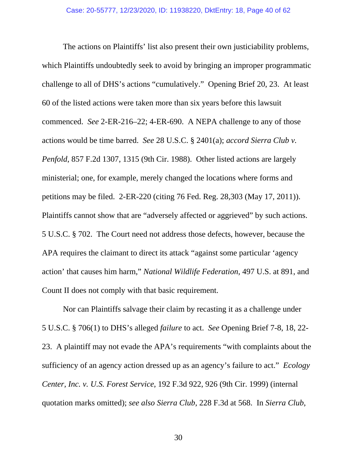The actions on Plaintiffs' list also present their own justiciability problems, which Plaintiffs undoubtedly seek to avoid by bringing an improper programmatic challenge to all of DHS's actions "cumulatively." Opening Brief 20, 23. At least 60 of the listed actions were taken more than six years before this lawsuit commenced. *See* 2-ER-216–22; 4-ER-690. A NEPA challenge to any of those actions would be time barred. *See* 28 U.S.C. § 2401(a); *accord Sierra Club v. Penfold*, 857 F.2d 1307, 1315 (9th Cir. 1988). Other listed actions are largely ministerial; one, for example, merely changed the locations where forms and petitions may be filed. 2-ER-220 (citing 76 Fed. Reg. 28,303 (May 17, 2011)). Plaintiffs cannot show that are "adversely affected or aggrieved" by such actions. 5 U.S.C. § 702. The Court need not address those defects, however, because the APA requires the claimant to direct its attack "against some particular 'agency action' that causes him harm," *National Wildlife Federation*, 497 U.S. at 891, and Count II does not comply with that basic requirement.

 Nor can Plaintiffs salvage their claim by recasting it as a challenge under 5 U.S.C. § 706(1) to DHS's alleged *failure* to act. *See* Opening Brief 7-8, 18, 22- 23. A plaintiff may not evade the APA's requirements "with complaints about the sufficiency of an agency action dressed up as an agency's failure to act." *Ecology Center, Inc. v. U.S. Forest Service*, 192 F.3d 922, 926 (9th Cir. 1999) (internal quotation marks omitted); *see also Sierra Club*, 228 F.3d at 568. In *Sierra Club*,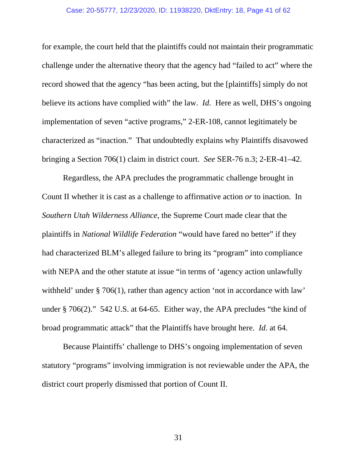#### Case: 20-55777, 12/23/2020, ID: 11938220, DktEntry: 18, Page 41 of 62

for example, the court held that the plaintiffs could not maintain their programmatic challenge under the alternative theory that the agency had "failed to act" where the record showed that the agency "has been acting, but the [plaintiffs] simply do not believe its actions have complied with" the law. *Id.* Here as well, DHS's ongoing implementation of seven "active programs," 2-ER-108, cannot legitimately be characterized as "inaction." That undoubtedly explains why Plaintiffs disavowed bringing a Section 706(1) claim in district court. *See* SER-76 n.3; 2-ER-41–42.

 Regardless, the APA precludes the programmatic challenge brought in Count II whether it is cast as a challenge to affirmative action *or* to inaction. In *Southern Utah Wilderness Alliance*, the Supreme Court made clear that the plaintiffs in *National Wildlife Federation* "would have fared no better" if they had characterized BLM's alleged failure to bring its "program" into compliance with NEPA and the other statute at issue "in terms of 'agency action unlawfully withheld' under § 706(1), rather than agency action 'not in accordance with law' under § 706(2)." 542 U.S. at 64-65. Either way, the APA precludes "the kind of broad programmatic attack" that the Plaintiffs have brought here. *Id*. at 64.

 Because Plaintiffs' challenge to DHS's ongoing implementation of seven statutory "programs" involving immigration is not reviewable under the APA, the district court properly dismissed that portion of Count II.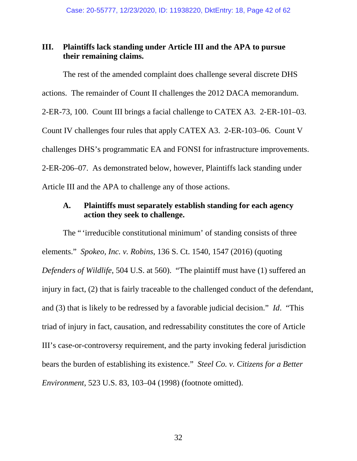# **III. Plaintiffs lack standing under Article III and the APA to pursue their remaining claims.**

 The rest of the amended complaint does challenge several discrete DHS actions. The remainder of Count II challenges the 2012 DACA memorandum. 2-ER-73, 100. Count III brings a facial challenge to CATEX A3. 2-ER-101–03. Count IV challenges four rules that apply CATEX A3. 2-ER-103–06. Count V challenges DHS's programmatic EA and FONSI for infrastructure improvements. 2-ER-206–07. As demonstrated below, however, Plaintiffs lack standing under Article III and the APA to challenge any of those actions.

# **A. Plaintiffs must separately establish standing for each agency action they seek to challenge.**

 The " 'irreducible constitutional minimum' of standing consists of three elements." *Spokeo, Inc. v. Robins*, 136 S. Ct. 1540, 1547 (2016) (quoting *Defenders of Wildlife*, 504 U.S. at 560). "The plaintiff must have (1) suffered an injury in fact, (2) that is fairly traceable to the challenged conduct of the defendant, and (3) that is likely to be redressed by a favorable judicial decision." *Id*. "This triad of injury in fact, causation, and redressability constitutes the core of Article III's case-or-controversy requirement, and the party invoking federal jurisdiction bears the burden of establishing its existence." *Steel Co. v. Citizens for a Better Environment*, 523 U.S. 83, 103–04 (1998) (footnote omitted).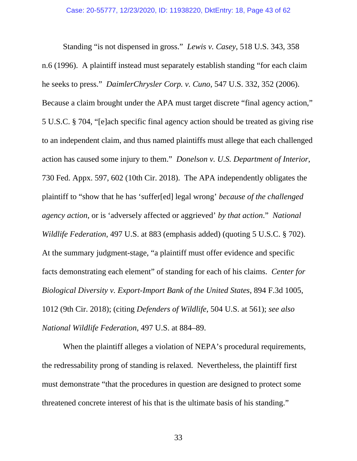Standing "is not dispensed in gross." *Lewis v. Casey*, 518 U.S. 343, 358 n.6 (1996). A plaintiff instead must separately establish standing "for each claim he seeks to press." *DaimlerChrysler Corp. v. Cuno*, 547 U.S. 332, 352 (2006). Because a claim brought under the APA must target discrete "final agency action," 5 U.S.C. § 704, "[e]ach specific final agency action should be treated as giving rise to an independent claim, and thus named plaintiffs must allege that each challenged action has caused some injury to them." *Donelson v. U.S. Department of Interior*, 730 Fed. Appx. 597, 602 (10th Cir. 2018). The APA independently obligates the plaintiff to "show that he has 'suffer[ed] legal wrong' *because of the challenged agency action*, or is 'adversely affected or aggrieved' *by that action*." *National Wildlife Federation*, 497 U.S. at 883 (emphasis added) (quoting 5 U.S.C. § 702). At the summary judgment-stage, "a plaintiff must offer evidence and specific facts demonstrating each element" of standing for each of his claims. *Center for Biological Diversity v. Export-Import Bank of the United States*, 894 F.3d 1005, 1012 (9th Cir. 2018); (citing *Defenders of Wildlife*, 504 U.S. at 561); *see also National Wildlife Federation*, 497 U.S. at 884–89.

 When the plaintiff alleges a violation of NEPA's procedural requirements, the redressability prong of standing is relaxed. Nevertheless, the plaintiff first must demonstrate "that the procedures in question are designed to protect some threatened concrete interest of his that is the ultimate basis of his standing."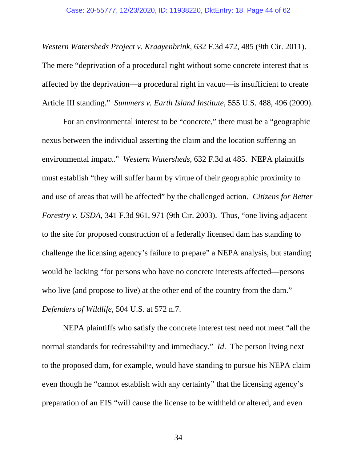#### Case: 20-55777, 12/23/2020, ID: 11938220, DktEntry: 18, Page 44 of 62

*Western Watersheds Project v. Kraayenbrink*, 632 F.3d 472, 485 (9th Cir. 2011). The mere "deprivation of a procedural right without some concrete interest that is affected by the deprivation—a procedural right in vacuo—is insufficient to create Article III standing." *Summers v. Earth Island Institute*, 555 U.S. 488, 496 (2009).

 For an environmental interest to be "concrete," there must be a "geographic nexus between the individual asserting the claim and the location suffering an environmental impact." *Western Watersheds*, 632 F.3d at 485. NEPA plaintiffs must establish "they will suffer harm by virtue of their geographic proximity to and use of areas that will be affected" by the challenged action. *Citizens for Better Forestry v. USDA*, 341 F.3d 961, 971 (9th Cir. 2003). Thus, "one living adjacent to the site for proposed construction of a federally licensed dam has standing to challenge the licensing agency's failure to prepare" a NEPA analysis, but standing would be lacking "for persons who have no concrete interests affected—persons who live (and propose to live) at the other end of the country from the dam." *Defenders of Wildlife*, 504 U.S. at 572 n.7.

 NEPA plaintiffs who satisfy the concrete interest test need not meet "all the normal standards for redressability and immediacy." *Id*. The person living next to the proposed dam, for example, would have standing to pursue his NEPA claim even though he "cannot establish with any certainty" that the licensing agency's preparation of an EIS "will cause the license to be withheld or altered, and even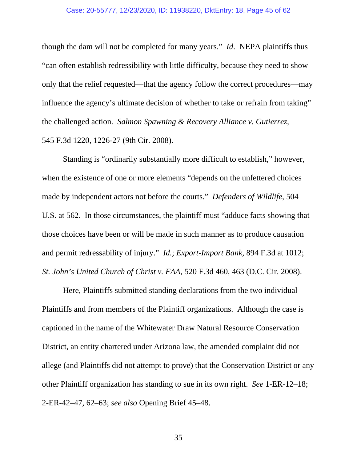#### Case: 20-55777, 12/23/2020, ID: 11938220, DktEntry: 18, Page 45 of 62

though the dam will not be completed for many years." *Id*. NEPA plaintiffs thus "can often establish redressibility with little difficulty, because they need to show only that the relief requested—that the agency follow the correct procedures—may influence the agency's ultimate decision of whether to take or refrain from taking" the challenged action. *Salmon Spawning & Recovery Alliance v. Gutierrez*, 545 F.3d 1220, 1226-27 (9th Cir. 2008).

 Standing is "ordinarily substantially more difficult to establish," however, when the existence of one or more elements "depends on the unfettered choices made by independent actors not before the courts." *Defenders of Wildlife*, 504 U.S. at 562. In those circumstances, the plaintiff must "adduce facts showing that those choices have been or will be made in such manner as to produce causation and permit redressability of injury." *Id.*; *Export-Import Bank*, 894 F.3d at 1012; *St. John's United Church of Christ v. FAA*, 520 F.3d 460, 463 (D.C. Cir. 2008).

 Here, Plaintiffs submitted standing declarations from the two individual Plaintiffs and from members of the Plaintiff organizations. Although the case is captioned in the name of the Whitewater Draw Natural Resource Conservation District, an entity chartered under Arizona law, the amended complaint did not allege (and Plaintiffs did not attempt to prove) that the Conservation District or any other Plaintiff organization has standing to sue in its own right. *See* 1-ER-12–18; 2-ER-42–47, 62–63; *see also* Opening Brief 45–48.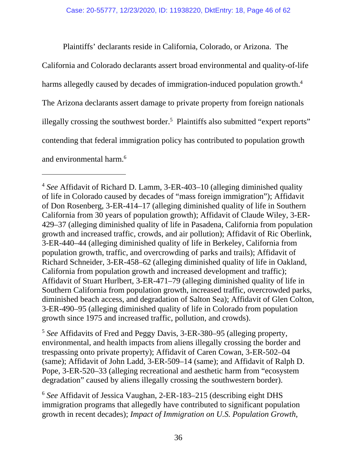Plaintiffs' declarants reside in California, Colorado, or Arizona. The

California and Colorado declarants assert broad environmental and quality-of-life harms allegedly caused by decades of immigration-induced population growth.<sup>4</sup> The Arizona declarants assert damage to private property from foreign nationals illegally crossing the southwest border.<sup>5</sup> Plaintiffs also submitted "expert reports" contending that federal immigration policy has contributed to population growth and environmental harm.6

l

<sup>5</sup> *See* Affidavits of Fred and Peggy Davis, 3-ER-380–95 (alleging property, environmental, and health impacts from aliens illegally crossing the border and trespassing onto private property); Affidavit of Caren Cowan, 3-ER-502–04 (same); Affidavit of John Ladd, 3-ER-509–14 (same); and Affidavit of Ralph D. Pope, 3-ER-520–33 (alleging recreational and aesthetic harm from "ecosystem degradation" caused by aliens illegally crossing the southwestern border).

<sup>6</sup> *See* Affidavit of Jessica Vaughan, 2-ER-183–215 (describing eight DHS immigration programs that allegedly have contributed to significant population growth in recent decades); *Impact of Immigration on U.S. Population Growth*,

<sup>4</sup> *See* Affidavit of Richard D. Lamm, 3-ER-403–10 (alleging diminished quality of life in Colorado caused by decades of "mass foreign immigration"); Affidavit of Don Rosenberg, 3-ER-414–17 (alleging diminished quality of life in Southern California from 30 years of population growth); Affidavit of Claude Wiley, 3-ER-429–37 (alleging diminished quality of life in Pasadena, California from population growth and increased traffic, crowds, and air pollution); Affidavit of Ric Oberlink, 3-ER-440–44 (alleging diminished quality of life in Berkeley, California from population growth, traffic, and overcrowding of parks and trails); Affidavit of Richard Schneider, 3-ER-458–62 (alleging diminished quality of life in Oakland, California from population growth and increased development and traffic); Affidavit of Stuart Hurlbert, 3-ER-471–79 (alleging diminished quality of life in Southern California from population growth, increased traffic, overcrowded parks, diminished beach access, and degradation of Salton Sea); Affidavit of Glen Colton, 3-ER-490–95 (alleging diminished quality of life in Colorado from population growth since 1975 and increased traffic, pollution, and crowds).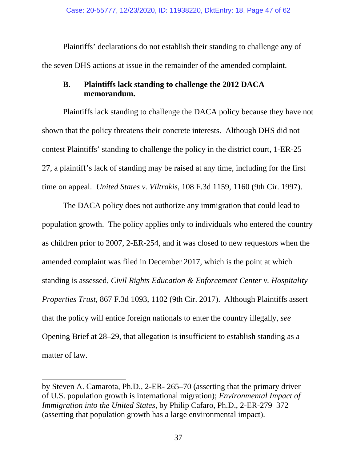Plaintiffs' declarations do not establish their standing to challenge any of the seven DHS actions at issue in the remainder of the amended complaint.

# **B. Plaintiffs lack standing to challenge the 2012 DACA memorandum.**

 Plaintiffs lack standing to challenge the DACA policy because they have not shown that the policy threatens their concrete interests. Although DHS did not contest Plaintiffs' standing to challenge the policy in the district court, 1-ER-25– 27, a plaintiff's lack of standing may be raised at any time, including for the first time on appeal. *United States v. Viltrakis*, 108 F.3d 1159, 1160 (9th Cir. 1997).

 The DACA policy does not authorize any immigration that could lead to population growth. The policy applies only to individuals who entered the country as children prior to 2007, 2-ER-254, and it was closed to new requestors when the amended complaint was filed in December 2017, which is the point at which standing is assessed, *Civil Rights Education & Enforcement Center v. Hospitality Properties Trust*, 867 F.3d 1093, 1102 (9th Cir. 2017). Although Plaintiffs assert that the policy will entice foreign nationals to enter the country illegally, *see*  Opening Brief at 28–29, that allegation is insufficient to establish standing as a matter of law.

 $\overline{a}$ by Steven A. Camarota, Ph.D., 2-ER- 265–70 (asserting that the primary driver of U.S. population growth is international migration); *Environmental Impact of Immigration into the United States*, by Philip Cafaro, Ph.D., 2-ER-279–372 (asserting that population growth has a large environmental impact).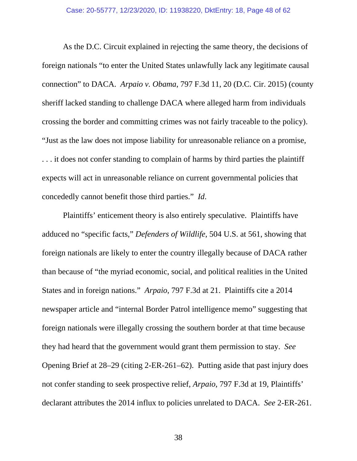#### Case: 20-55777, 12/23/2020, ID: 11938220, DktEntry: 18, Page 48 of 62

 As the D.C. Circuit explained in rejecting the same theory, the decisions of foreign nationals "to enter the United States unlawfully lack any legitimate causal connection" to DACA. *Arpaio v. Obama*, 797 F.3d 11, 20 (D.C. Cir. 2015) (county sheriff lacked standing to challenge DACA where alleged harm from individuals crossing the border and committing crimes was not fairly traceable to the policy). "Just as the law does not impose liability for unreasonable reliance on a promise, . . . it does not confer standing to complain of harms by third parties the plaintiff expects will act in unreasonable reliance on current governmental policies that concededly cannot benefit those third parties." *Id*.

 Plaintiffs' enticement theory is also entirely speculative. Plaintiffs have adduced no "specific facts," *Defenders of Wildlife*, 504 U.S. at 561, showing that foreign nationals are likely to enter the country illegally because of DACA rather than because of "the myriad economic, social, and political realities in the United States and in foreign nations." *Arpaio*, 797 F.3d at 21. Plaintiffs cite a 2014 newspaper article and "internal Border Patrol intelligence memo" suggesting that foreign nationals were illegally crossing the southern border at that time because they had heard that the government would grant them permission to stay. *See* Opening Brief at 28–29 (citing 2-ER-261–62). Putting aside that past injury does not confer standing to seek prospective relief, *Arpaio*, 797 F.3d at 19, Plaintiffs' declarant attributes the 2014 influx to policies unrelated to DACA. *See* 2-ER-261.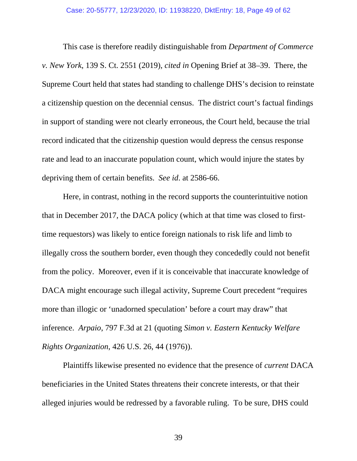This case is therefore readily distinguishable from *Department of Commerce v. New York*, 139 S. Ct. 2551 (2019), *cited in* Opening Brief at 38–39. There, the Supreme Court held that states had standing to challenge DHS's decision to reinstate a citizenship question on the decennial census. The district court's factual findings in support of standing were not clearly erroneous, the Court held, because the trial record indicated that the citizenship question would depress the census response rate and lead to an inaccurate population count, which would injure the states by depriving them of certain benefits. *See id*. at 2586-66.

 Here, in contrast, nothing in the record supports the counterintuitive notion that in December 2017, the DACA policy (which at that time was closed to firsttime requestors) was likely to entice foreign nationals to risk life and limb to illegally cross the southern border, even though they concededly could not benefit from the policy. Moreover, even if it is conceivable that inaccurate knowledge of DACA might encourage such illegal activity, Supreme Court precedent "requires more than illogic or 'unadorned speculation' before a court may draw" that inference. *Arpaio*, 797 F.3d at 21 (quoting *Simon v. Eastern Kentucky Welfare Rights Organization*, 426 U.S. 26, 44 (1976)).

 Plaintiffs likewise presented no evidence that the presence of *current* DACA beneficiaries in the United States threatens their concrete interests, or that their alleged injuries would be redressed by a favorable ruling. To be sure, DHS could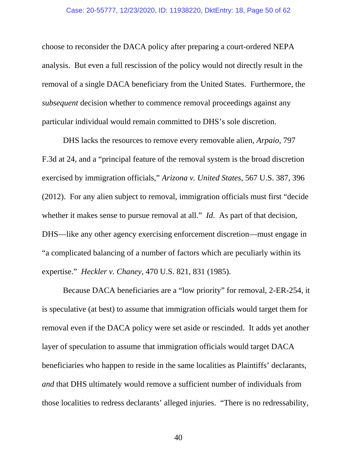choose to reconsider the DACA policy after preparing a court-ordered NEPA analysis. But even a full rescission of the policy would not directly result in the removal of a single DACA beneficiary from the United States. Furthermore, the *subsequent* decision whether to commence removal proceedings against any particular individual would remain committed to DHS's sole discretion.

 DHS lacks the resources to remove every removable alien, *Arpaio*, 797 F.3d at 24, and a "principal feature of the removal system is the broad discretion exercised by immigration officials," *Arizona v. United States*, 567 U.S. 387, 396 (2012). For any alien subject to removal, immigration officials must first "decide whether it makes sense to pursue removal at all." *Id.* As part of that decision, DHS—like any other agency exercising enforcement discretion—must engage in "a complicated balancing of a number of factors which are peculiarly within its expertise." *Heckler v. Chaney*, 470 U.S. 821, 831 (1985).

 Because DACA beneficiaries are a "low priority" for removal, 2-ER-254, it is speculative (at best) to assume that immigration officials would target them for removal even if the DACA policy were set aside or rescinded. It adds yet another layer of speculation to assume that immigration officials would target DACA beneficiaries who happen to reside in the same localities as Plaintiffs' declarants, *and* that DHS ultimately would remove a sufficient number of individuals from those localities to redress declarants' alleged injuries. "There is no redressability,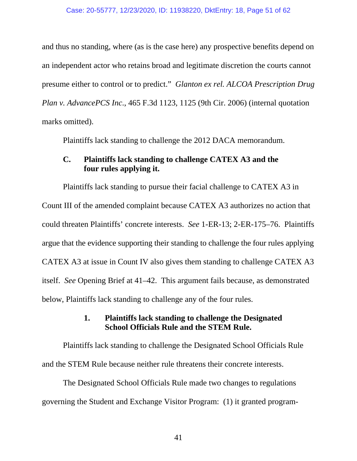and thus no standing, where (as is the case here) any prospective benefits depend on an independent actor who retains broad and legitimate discretion the courts cannot presume either to control or to predict." *Glanton ex rel. ALCOA Prescription Drug Plan v. AdvancePCS Inc*., 465 F.3d 1123, 1125 (9th Cir. 2006) (internal quotation marks omitted).

Plaintiffs lack standing to challenge the 2012 DACA memorandum.

# **C. Plaintiffs lack standing to challenge CATEX A3 and the four rules applying it.**

 Plaintiffs lack standing to pursue their facial challenge to CATEX A3 in Count III of the amended complaint because CATEX A3 authorizes no action that could threaten Plaintiffs' concrete interests. *See* 1-ER-13; 2-ER-175–76. Plaintiffs argue that the evidence supporting their standing to challenge the four rules applying CATEX A3 at issue in Count IV also gives them standing to challenge CATEX A3 itself. *See* Opening Brief at 41–42. This argument fails because, as demonstrated below, Plaintiffs lack standing to challenge any of the four rules.

# **1. Plaintiffs lack standing to challenge the Designated School Officials Rule and the STEM Rule.**

 Plaintiffs lack standing to challenge the Designated School Officials Rule and the STEM Rule because neither rule threatens their concrete interests.

 The Designated School Officials Rule made two changes to regulations governing the Student and Exchange Visitor Program: (1) it granted program-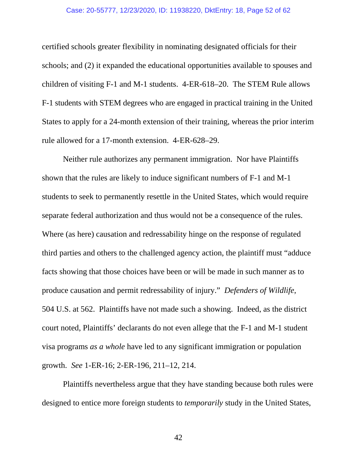#### Case: 20-55777, 12/23/2020, ID: 11938220, DktEntry: 18, Page 52 of 62

certified schools greater flexibility in nominating designated officials for their schools; and (2) it expanded the educational opportunities available to spouses and children of visiting F-1 and M-1 students. 4-ER-618–20. The STEM Rule allows F-1 students with STEM degrees who are engaged in practical training in the United States to apply for a 24-month extension of their training, whereas the prior interim rule allowed for a 17-month extension. 4-ER-628–29.

 Neither rule authorizes any permanent immigration. Nor have Plaintiffs shown that the rules are likely to induce significant numbers of F-1 and M-1 students to seek to permanently resettle in the United States, which would require separate federal authorization and thus would not be a consequence of the rules. Where (as here) causation and redressability hinge on the response of regulated third parties and others to the challenged agency action, the plaintiff must "adduce facts showing that those choices have been or will be made in such manner as to produce causation and permit redressability of injury." *Defenders of Wildlife*, 504 U.S. at 562. Plaintiffs have not made such a showing. Indeed, as the district court noted, Plaintiffs' declarants do not even allege that the F-1 and M-1 student visa programs *as a whole* have led to any significant immigration or population growth. *See* 1-ER-16; 2-ER-196, 211–12, 214.

 Plaintiffs nevertheless argue that they have standing because both rules were designed to entice more foreign students to *temporarily* study in the United States,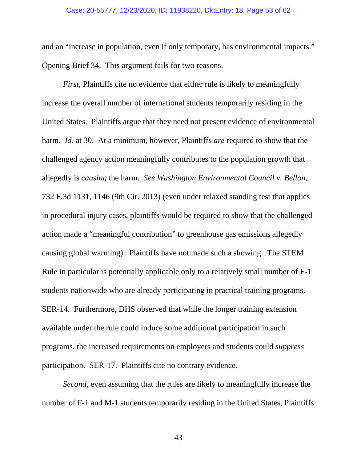#### Case: 20-55777, 12/23/2020, ID: 11938220, DktEntry: 18, Page 53 of 62

and an "increase in population, even if only temporary, has environmental impacts." Opening Brief 34. This argument fails for two reasons.

*First*, Plaintiffs cite no evidence that either rule is likely to meaningfully increase the overall number of international students temporarily residing in the United States. Plaintiffs argue that they need not present evidence of environmental harm. *Id.* at 30. At a minimum, however, Plaintiffs *are* required to show that the challenged agency action meaningfully contributes to the population growth that allegedly is *causing* the harm. *See Washington Environmental Council v. Bellon*, 732 F.3d 1131, 1146 (9th Cir. 2013) (even under relaxed standing test that applies in procedural injury cases, plaintiffs would be required to show that the challenged action made a "meaningful contribution" to greenhouse gas emissions allegedly causing global warming). Plaintiffs have not made such a showing. The STEM Rule in particular is potentially applicable only to a relatively small number of F-1 students nationwide who are already participating in practical training programs. SER-14. Furthermore, DHS observed that while the longer training extension available under the rule could induce some additional participation in such programs, the increased requirements on employers and students could *suppress* participation. SER-17. Plaintiffs cite no contrary evidence.

*Second*, even assuming that the rules are likely to meaningfully increase the number of F-1 and M-1 students temporarily residing in the United States, Plaintiffs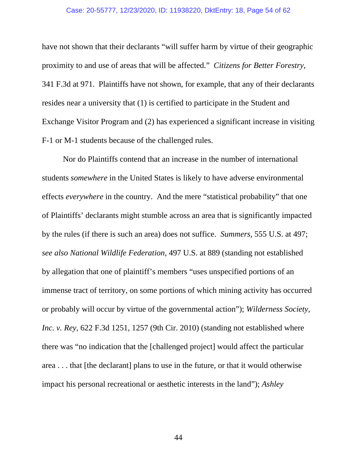#### Case: 20-55777, 12/23/2020, ID: 11938220, DktEntry: 18, Page 54 of 62

have not shown that their declarants "will suffer harm by virtue of their geographic proximity to and use of areas that will be affected." *Citizens for Better Forestry*, 341 F.3d at 971. Plaintiffs have not shown, for example, that any of their declarants resides near a university that (1) is certified to participate in the Student and Exchange Visitor Program and (2) has experienced a significant increase in visiting F-1 or M-1 students because of the challenged rules.

 Nor do Plaintiffs contend that an increase in the number of international students *somewhere* in the United States is likely to have adverse environmental effects *everywhere* in the country. And the mere "statistical probability" that one of Plaintiffs' declarants might stumble across an area that is significantly impacted by the rules (if there is such an area) does not suffice. *Summers*, 555 U.S. at 497; *see also National Wildlife Federation*, 497 U.S. at 889 (standing not established by allegation that one of plaintiff's members "uses unspecified portions of an immense tract of territory, on some portions of which mining activity has occurred or probably will occur by virtue of the governmental action"); *Wilderness Society, Inc. v. Rey*, 622 F.3d 1251, 1257 (9th Cir. 2010) (standing not established where there was "no indication that the [challenged project] would affect the particular area . . . that [the declarant] plans to use in the future, or that it would otherwise impact his personal recreational or aesthetic interests in the land"); *Ashley*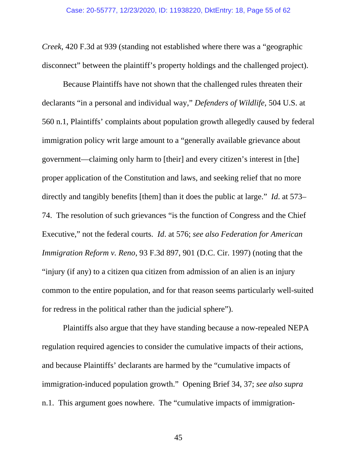*Creek*, 420 F.3d at 939 (standing not established where there was a "geographic disconnect" between the plaintiff's property holdings and the challenged project).

 Because Plaintiffs have not shown that the challenged rules threaten their declarants "in a personal and individual way," *Defenders of Wildlife*, 504 U.S. at 560 n.1, Plaintiffs' complaints about population growth allegedly caused by federal immigration policy writ large amount to a "generally available grievance about government—claiming only harm to [their] and every citizen's interest in [the] proper application of the Constitution and laws, and seeking relief that no more directly and tangibly benefits [them] than it does the public at large." *Id*. at 573– 74. The resolution of such grievances "is the function of Congress and the Chief Executive," not the federal courts. *Id*. at 576; *see also Federation for American Immigration Reform v. Reno*, 93 F.3d 897, 901 (D.C. Cir. 1997) (noting that the "injury (if any) to a citizen qua citizen from admission of an alien is an injury common to the entire population, and for that reason seems particularly well-suited for redress in the political rather than the judicial sphere").

 Plaintiffs also argue that they have standing because a now-repealed NEPA regulation required agencies to consider the cumulative impacts of their actions, and because Plaintiffs' declarants are harmed by the "cumulative impacts of immigration-induced population growth." Opening Brief 34, 37; *see also supra* n.1. This argument goes nowhere. The "cumulative impacts of immigration-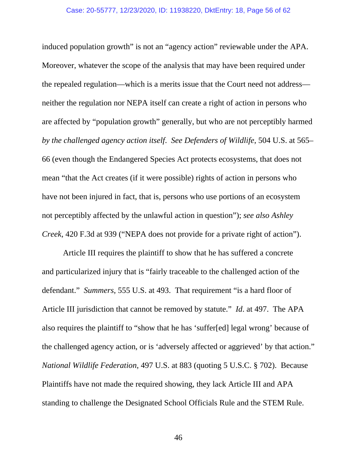induced population growth" is not an "agency action" reviewable under the APA. Moreover, whatever the scope of the analysis that may have been required under the repealed regulation—which is a merits issue that the Court need not address neither the regulation nor NEPA itself can create a right of action in persons who are affected by "population growth" generally, but who are not perceptibly harmed *by the challenged agency action itself*. *See Defenders of Wildlife*, 504 U.S. at 565– 66 (even though the Endangered Species Act protects ecosystems, that does not mean "that the Act creates (if it were possible) rights of action in persons who have not been injured in fact, that is, persons who use portions of an ecosystem not perceptibly affected by the unlawful action in question"); *see also Ashley Creek*, 420 F.3d at 939 ("NEPA does not provide for a private right of action").

 Article III requires the plaintiff to show that he has suffered a concrete and particularized injury that is "fairly traceable to the challenged action of the defendant." *Summers*, 555 U.S. at 493. That requirement "is a hard floor of Article III jurisdiction that cannot be removed by statute." *Id*. at 497. The APA also requires the plaintiff to "show that he has 'suffer[ed] legal wrong' because of the challenged agency action, or is 'adversely affected or aggrieved' by that action." *National Wildlife Federation*, 497 U.S. at 883 (quoting 5 U.S.C. § 702). Because Plaintiffs have not made the required showing, they lack Article III and APA standing to challenge the Designated School Officials Rule and the STEM Rule.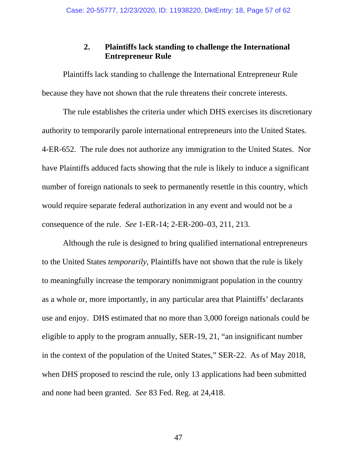# **2. Plaintiffs lack standing to challenge the International Entrepreneur Rule**

 Plaintiffs lack standing to challenge the International Entrepreneur Rule because they have not shown that the rule threatens their concrete interests.

 The rule establishes the criteria under which DHS exercises its discretionary authority to temporarily parole international entrepreneurs into the United States. 4-ER-652. The rule does not authorize any immigration to the United States. Nor have Plaintiffs adduced facts showing that the rule is likely to induce a significant number of foreign nationals to seek to permanently resettle in this country, which would require separate federal authorization in any event and would not be a consequence of the rule. *See* 1-ER-14; 2-ER-200–03, 211, 213.

 Although the rule is designed to bring qualified international entrepreneurs to the United States *temporarily*, Plaintiffs have not shown that the rule is likely to meaningfully increase the temporary nonimmigrant population in the country as a whole or, more importantly, in any particular area that Plaintiffs' declarants use and enjoy. DHS estimated that no more than 3,000 foreign nationals could be eligible to apply to the program annually, SER-19, 21, "an insignificant number in the context of the population of the United States," SER-22. As of May 2018, when DHS proposed to rescind the rule, only 13 applications had been submitted and none had been granted. *See* 83 Fed. Reg. at 24,418.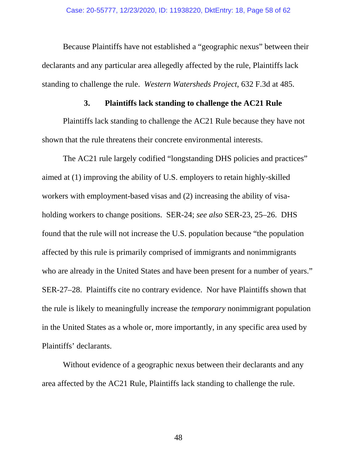Because Plaintiffs have not established a "geographic nexus" between their declarants and any particular area allegedly affected by the rule, Plaintiffs lack standing to challenge the rule. *Western Watersheds Project*, 632 F.3d at 485.

## **3. Plaintiffs lack standing to challenge the AC21 Rule**

 Plaintiffs lack standing to challenge the AC21 Rule because they have not shown that the rule threatens their concrete environmental interests.

 The AC21 rule largely codified "longstanding DHS policies and practices" aimed at (1) improving the ability of U.S. employers to retain highly-skilled workers with employment-based visas and (2) increasing the ability of visaholding workers to change positions. SER-24; *see also* SER-23, 25–26. DHS found that the rule will not increase the U.S. population because "the population affected by this rule is primarily comprised of immigrants and nonimmigrants who are already in the United States and have been present for a number of years." SER-27–28. Plaintiffs cite no contrary evidence. Nor have Plaintiffs shown that the rule is likely to meaningfully increase the *temporary* nonimmigrant population in the United States as a whole or, more importantly, in any specific area used by Plaintiffs' declarants.

 Without evidence of a geographic nexus between their declarants and any area affected by the AC21 Rule, Plaintiffs lack standing to challenge the rule.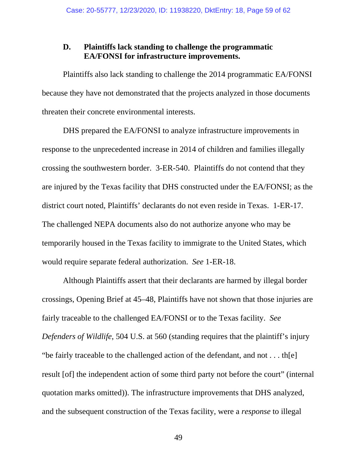# **D. Plaintiffs lack standing to challenge the programmatic EA/FONSI for infrastructure improvements.**

 Plaintiffs also lack standing to challenge the 2014 programmatic EA/FONSI because they have not demonstrated that the projects analyzed in those documents threaten their concrete environmental interests.

 DHS prepared the EA/FONSI to analyze infrastructure improvements in response to the unprecedented increase in 2014 of children and families illegally crossing the southwestern border. 3-ER-540. Plaintiffs do not contend that they are injured by the Texas facility that DHS constructed under the EA/FONSI; as the district court noted, Plaintiffs' declarants do not even reside in Texas. 1-ER-17. The challenged NEPA documents also do not authorize anyone who may be temporarily housed in the Texas facility to immigrate to the United States, which would require separate federal authorization. *See* 1-ER-18.

 Although Plaintiffs assert that their declarants are harmed by illegal border crossings, Opening Brief at 45–48, Plaintiffs have not shown that those injuries are fairly traceable to the challenged EA/FONSI or to the Texas facility. *See Defenders of Wildlife*, 504 U.S. at 560 (standing requires that the plaintiff's injury "be fairly traceable to the challenged action of the defendant, and not . . . th[e] result [of] the independent action of some third party not before the court" (internal quotation marks omitted)). The infrastructure improvements that DHS analyzed, and the subsequent construction of the Texas facility, were a *response* to illegal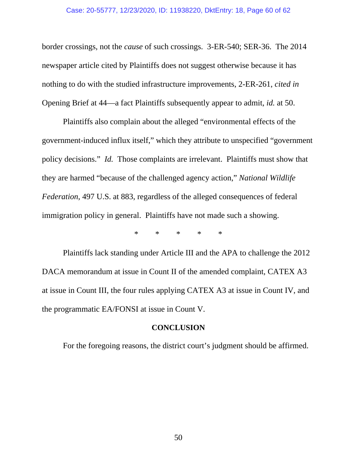#### Case: 20-55777, 12/23/2020, ID: 11938220, DktEntry: 18, Page 60 of 62

border crossings, not the *cause* of such crossings. 3-ER-540; SER-36. The 2014 newspaper article cited by Plaintiffs does not suggest otherwise because it has nothing to do with the studied infrastructure improvements, 2-ER-261, *cited in*  Opening Brief at 44—a fact Plaintiffs subsequently appear to admit, *id.* at 50.

 Plaintiffs also complain about the alleged "environmental effects of the government-induced influx itself," which they attribute to unspecified "government policy decisions." *Id.* Those complaints are irrelevant. Plaintiffs must show that they are harmed "because of the challenged agency action," *National Wildlife Federation*, 497 U.S. at 883, regardless of the alleged consequences of federal immigration policy in general. Plaintiffs have not made such a showing.

\* \* \* \* \*

 Plaintiffs lack standing under Article III and the APA to challenge the 2012 DACA memorandum at issue in Count II of the amended complaint, CATEX A3 at issue in Count III, the four rules applying CATEX A3 at issue in Count IV, and the programmatic EA/FONSI at issue in Count V.

#### **CONCLUSION**

For the foregoing reasons, the district court's judgment should be affirmed.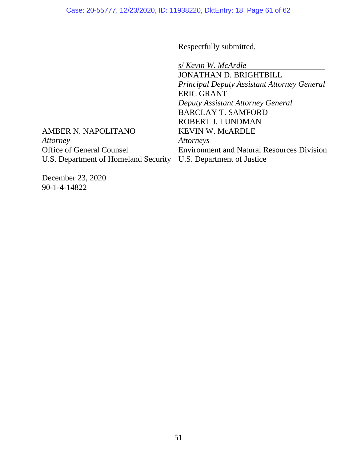Respectfully submitted,

U.S. Department of Homeland Security U.S. Department of Justice s/ *Kevin W. McArdle* JONATHAN D. BRIGHTBILL *Principal Deputy Assistant Attorney General* ERIC GRANT *Deputy Assistant Attorney General* BARCLAY T. SAMFORD ROBERT J. LUNDMAN KEVIN W. McARDLE *Attorneys*  Environment and Natural Resources Division

AMBER N. NAPOLITANO *Attorney*  Office of General Counsel

December 23, 2020 90-1-4-14822